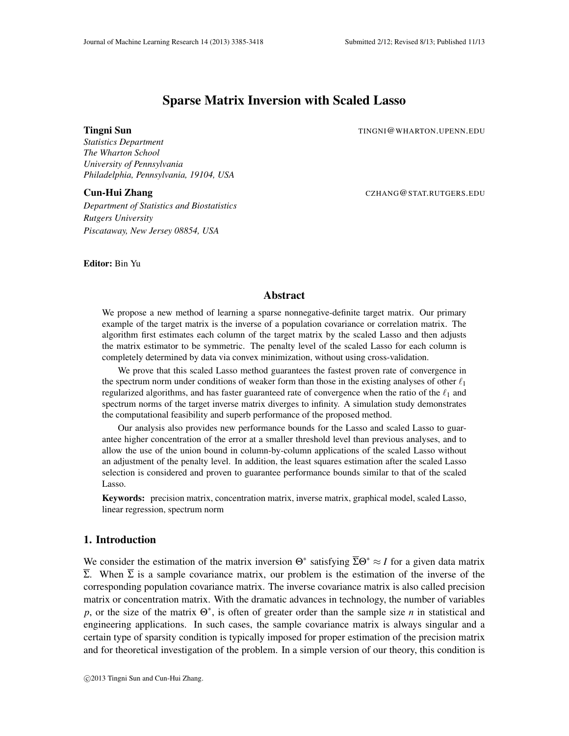# Sparse Matrix Inversion with Scaled Lasso

**Tingni Sun** TINGNI@WHARTON.UPENN.EDU

*Statistics Department The Wharton School University of Pennsylvania Philadelphia, Pennsylvania, 19104, USA*

*Department of Statistics and Biostatistics Rutgers University Piscataway, New Jersey 08854, USA*

**Cun-Hui Zhang** CZHANG@STAT.RUTGERS.EDU

Editor: Bin Yu

# Abstract

We propose a new method of learning a sparse nonnegative-definite target matrix. Our primary example of the target matrix is the inverse of a population covariance or correlation matrix. The algorithm first estimates each column of the target matrix by the scaled Lasso and then adjusts the matrix estimator to be symmetric. The penalty level of the scaled Lasso for each column is completely determined by data via convex minimization, without using cross-validation.

We prove that this scaled Lasso method guarantees the fastest proven rate of convergence in the spectrum norm under conditions of weaker form than those in the existing analyses of other  $\ell_1$ regularized algorithms, and has faster guaranteed rate of convergence when the ratio of the  $\ell_1$  and spectrum norms of the target inverse matrix diverges to infinity. A simulation study demonstrates the computational feasibility and superb performance of the proposed method.

Our analysis also provides new performance bounds for the Lasso and scaled Lasso to guarantee higher concentration of the error at a smaller threshold level than previous analyses, and to allow the use of the union bound in column-by-column applications of the scaled Lasso without an adjustment of the penalty level. In addition, the least squares estimation after the scaled Lasso selection is considered and proven to guarantee performance bounds similar to that of the scaled Lasso.

Keywords: precision matrix, concentration matrix, inverse matrix, graphical model, scaled Lasso, linear regression, spectrum norm

# 1. Introduction

We consider the estimation of the matrix inversion  $\Theta^*$  satisfying  $\overline{\Sigma}\Theta^* \approx I$  for a given data matrix  $\overline{\Sigma}$ . When  $\overline{\Sigma}$  is a sample covariance matrix, our problem is the estimation of the inverse of the corresponding population covariance matrix. The inverse covariance matrix is also called precision matrix or concentration matrix. With the dramatic advances in technology, the number of variables *p*, or the size of the matrix Θ ∗ , is often of greater order than the sample size *n* in statistical and engineering applications. In such cases, the sample covariance matrix is always singular and a certain type of sparsity condition is typically imposed for proper estimation of the precision matrix and for theoretical investigation of the problem. In a simple version of our theory, this condition is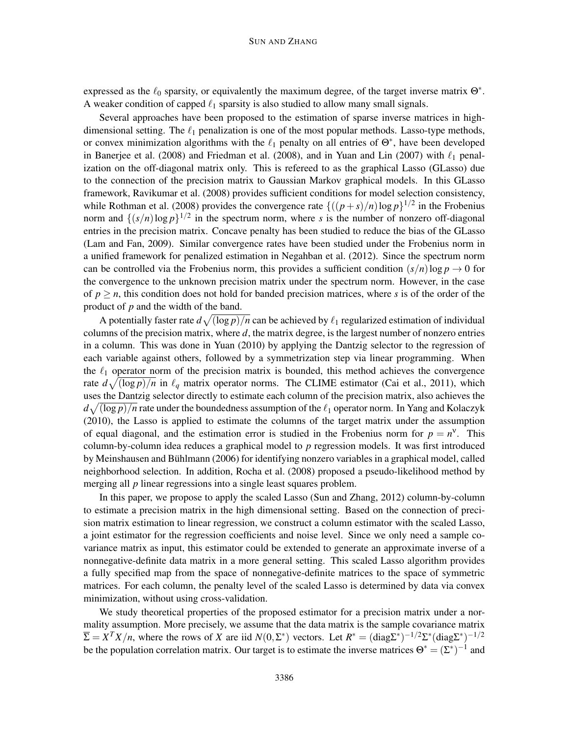expressed as the  $\ell_0$  sparsity, or equivalently the maximum degree, of the target inverse matrix  $\Theta^*$ . A weaker condition of capped  $\ell_1$  sparsity is also studied to allow many small signals.

Several approaches have been proposed to the estimation of sparse inverse matrices in highdimensional setting. The  $\ell_1$  penalization is one of the most popular methods. Lasso-type methods, or convex minimization algorithms with the  $\ell_1$  penalty on all entries of  $\Theta^*$ , have been developed in Banerjee et al. (2008) and Friedman et al. (2008), and in Yuan and Lin (2007) with  $\ell_1$  penalization on the off-diagonal matrix only. This is refereed to as the graphical Lasso (GLasso) due to the connection of the precision matrix to Gaussian Markov graphical models. In this GLasso framework, Ravikumar et al. (2008) provides sufficient conditions for model selection consistency, while Rothman et al. (2008) provides the convergence rate  $\{((p+s)/n)\log p\}^{1/2}$  in the Frobenius norm and  $\{(s/n)\log p\}^{1/2}$  in the spectrum norm, where *s* is the number of nonzero off-diagonal entries in the precision matrix. Concave penalty has been studied to reduce the bias of the GLasso (Lam and Fan, 2009). Similar convergence rates have been studied under the Frobenius norm in a unified framework for penalized estimation in Negahban et al. (2012). Since the spectrum norm can be controlled via the Frobenius norm, this provides a sufficient condition  $(s/n)$ log  $p \to 0$  for the convergence to the unknown precision matrix under the spectrum norm. However, in the case of  $p \ge n$ , this condition does not hold for banded precision matrices, where *s* is of the order of the product of *p* and the width of the band.

A potentially faster rate  $d\sqrt{(\log p)/n}$  can be achieved by  $\ell_1$  regularized estimation of individual columns of the precision matrix, where *d*, the matrix degree, is the largest number of nonzero entries in a column. This was done in Yuan (2010) by applying the Dantzig selector to the regression of each variable against others, followed by a symmetrization step via linear programming. When the  $\ell_1$  operator norm of the precision matrix is bounded, this method achieves the convergence rate  $d\sqrt{(\log p)/n}$  in  $\ell_q$  matrix operator norms. The CLIME estimator (Cai et al., 2011), which uses the Dantzig selector directly to estimate each column of the precision matrix, also achieves the  $d\sqrt{(\log p)/n}$  rate under the boundedness assumption of the  $\ell_1$  operator norm. In Yang and Kolaczyk (2010), the Lasso is applied to estimate the columns of the target matrix under the assumption of equal diagonal, and the estimation error is studied in the Frobenius norm for  $p = n^{\nu}$ . This column-by-column idea reduces a graphical model to *p* regression models. It was first introduced by Meinshausen and Bühlmann (2006) for identifying nonzero variables in a graphical model, called neighborhood selection. In addition, Rocha et al. (2008) proposed a pseudo-likelihood method by merging all *p* linear regressions into a single least squares problem.

In this paper, we propose to apply the scaled Lasso (Sun and Zhang, 2012) column-by-column to estimate a precision matrix in the high dimensional setting. Based on the connection of precision matrix estimation to linear regression, we construct a column estimator with the scaled Lasso, a joint estimator for the regression coefficients and noise level. Since we only need a sample covariance matrix as input, this estimator could be extended to generate an approximate inverse of a nonnegative-definite data matrix in a more general setting. This scaled Lasso algorithm provides a fully specified map from the space of nonnegative-definite matrices to the space of symmetric matrices. For each column, the penalty level of the scaled Lasso is determined by data via convex minimization, without using cross-validation.

We study theoretical properties of the proposed estimator for a precision matrix under a normality assumption. More precisely, we assume that the data matrix is the sample covariance matrix  $\overline{\Sigma} = X^T X/n$ , where the rows of *X* are iid  $N(0, \Sigma^*)$  vectors. Let  $R^* = (\text{diag}\Sigma^*)^{-1/2} \Sigma^* (\text{diag}\Sigma^*)^{-1/2}$ be the population correlation matrix. Our target is to estimate the inverse matrices  $\Theta^* = (\Sigma^*)^{-1}$  and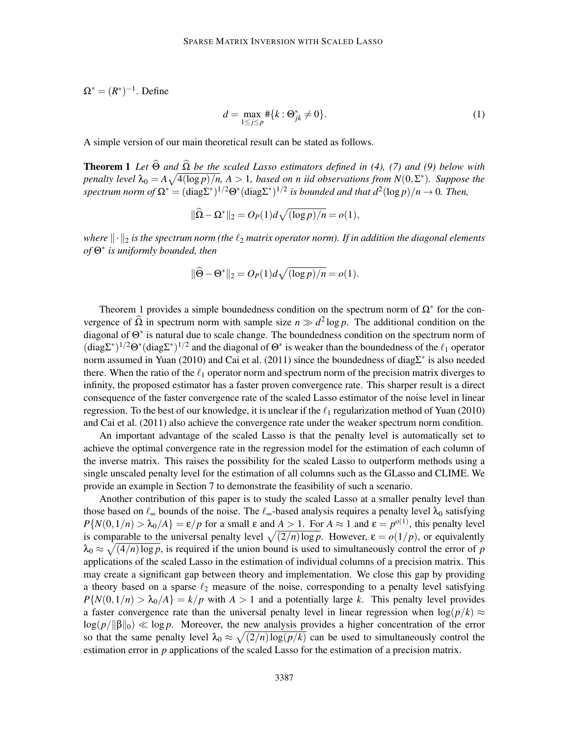$\Omega^* = (R^*)^{-1}$ . Define

$$
d = \max_{1 \le j \le p} \# \{ k : \Theta_{jk}^* \neq 0 \}. \tag{1}
$$

A simple version of our main theoretical result can be stated as follows.

**Theorem 1** Let  $\widehat{\Theta}$  and  $\widehat{\Omega}$  be the scaled Lasso estimators defined in (4), (7) and (9) below with *penalty level*  $\lambda_0 = A \sqrt{4(\log p)/n}$ ,  $A > 1$ , based on n iid observations from  $N(0, \Sigma^*)$ . Suppose the  $spectrum\ norm\ of\ \Omega^*=(\text{diag}\Sigma^*)^{1/2}\Theta^*(\text{diag}\Sigma^*)^{1/2}\ is\ bounded\ and\ that\ d^2(\log p)/n\to 0$ . Then,

$$
\|\widehat{\Omega} - \Omega^*\|_2 = O_P(1)d\sqrt{(\log p)/n} = o(1),
$$

*where*  $\|\cdot\|_2$  *is the spectrum norm (the*  $\ell_2$  *matrix operator norm). If in addition the diagonal elements of* Θ ∗ *is uniformly bounded, then*

$$
\|\widehat{\Theta} - \Theta^*\|_2 = O_P(1)d\sqrt{(\log p)/n} = o(1).
$$

Theorem 1 provides a simple boundedness condition on the spectrum norm of  $\Omega^*$  for the convergence of  $\hat{\Omega}$  in spectrum norm with sample size  $n \gg d^2 \log p$ . The additional condition on the diagonal of Θ ∗ is natural due to scale change. The boundedness condition on the spectrum norm of  $(\text{diag}\Sigma^*)^{1/2}\Theta^*(\text{diag}\Sigma^*)^{1/2}$  and the diagonal of  $\Theta^*$  is weaker than the boundedness of the  $\ell_1$  operator norm assumed in Yuan (2010) and Cai et al. (2011) since the boundedness of diag $\Sigma^*$  is also needed there. When the ratio of the  $\ell_1$  operator norm and spectrum norm of the precision matrix diverges to infinity, the proposed estimator has a faster proven convergence rate. This sharper result is a direct consequence of the faster convergence rate of the scaled Lasso estimator of the noise level in linear regression. To the best of our knowledge, it is unclear if the  $\ell_1$  regularization method of Yuan (2010) and Cai et al. (2011) also achieve the convergence rate under the weaker spectrum norm condition.

An important advantage of the scaled Lasso is that the penalty level is automatically set to achieve the optimal convergence rate in the regression model for the estimation of each column of the inverse matrix. This raises the possibility for the scaled Lasso to outperform methods using a single unscaled penalty level for the estimation of all columns such as the GLasso and CLIME. We provide an example in Section 7 to demonstrate the feasibility of such a scenario.

Another contribution of this paper is to study the scaled Lasso at a smaller penalty level than those based on  $\ell_{\infty}$  bounds of the noise. The  $\ell_{\infty}$ -based analysis requires a penalty level  $\lambda_0$  satisfying  $P\{N(0,1/n) > \lambda_0/A\} = \varepsilon/p$  for a small  $\varepsilon$  and  $A > 1$ . For  $A \approx 1$  and  $\varepsilon = p^{o(1)}$ , this penalty level is comparable to the universal penalty level  $\sqrt{(2/n) \log p}$ . However,  $\varepsilon = o(1/p)$ , or equivalently  $\lambda_0 \approx \sqrt{(4/n) \log p}$ , is required if the union bound is used to simultaneously control the error of *p* applications of the scaled Lasso in the estimation of individual columns of a precision matrix. This may create a significant gap between theory and implementation. We close this gap by providing a theory based on a sparse  $\ell_2$  measure of the noise, corresponding to a penalty level satisfying  $P\{N(0,1/n) > \lambda_0/A\} = k/p$  with  $A > 1$  and a potentially large k. This penalty level provides a faster convergence rate than the universal penalty level in linear regression when  $\log(p/k) \approx$  $\log(p/\|\beta\|_0) \ll \log p$ . Moreover, the new analysis provides a higher concentration of the error so that the same penalty level  $\lambda_0 \approx \sqrt{(2/n) \log(p/k)}$  can be used to simultaneously control the estimation error in *p* applications of the scaled Lasso for the estimation of a precision matrix.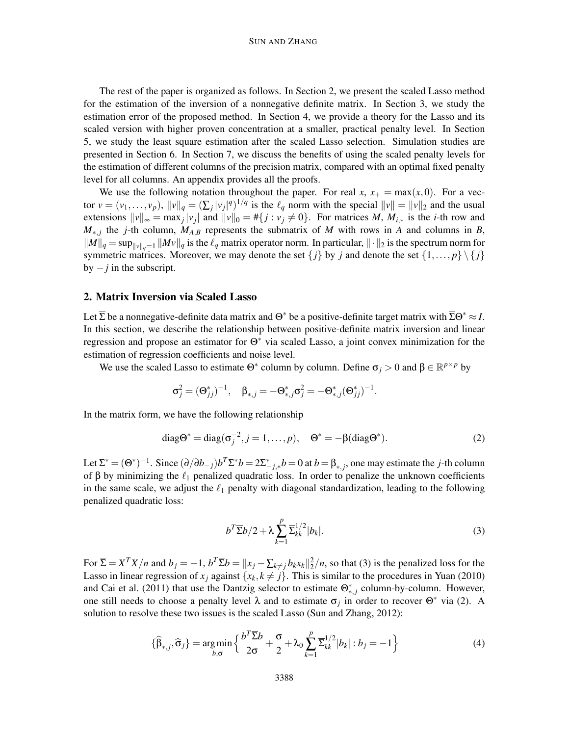The rest of the paper is organized as follows. In Section 2, we present the scaled Lasso method for the estimation of the inversion of a nonnegative definite matrix. In Section 3, we study the estimation error of the proposed method. In Section 4, we provide a theory for the Lasso and its scaled version with higher proven concentration at a smaller, practical penalty level. In Section 5, we study the least square estimation after the scaled Lasso selection. Simulation studies are presented in Section 6. In Section 7, we discuss the benefits of using the scaled penalty levels for the estimation of different columns of the precision matrix, compared with an optimal fixed penalty level for all columns. An appendix provides all the proofs.

We use the following notation throughout the paper. For real *x*,  $x_+ = \max(x,0)$ . For a vector  $v = (v_1, \ldots, v_p)$ ,  $||v||_q = (\sum_j |v_j|^q)^{1/q}$  is the  $\ell_q$  norm with the special  $||v|| = ||v||_2$  and the usual extensions  $||v||_{\infty} = \max_j |v_j|$  and  $||v||_0 = \#\{j : v_j \neq 0\}$ . For matrices *M*,  $M_{i,*}$  is the *i*-th row and  $M_{*,j}$  the *j*-th column,  $M_{A,B}$  represents the submatrix of *M* with rows in *A* and columns in *B*,  $\|M\|_q = \sup_{\|v\|_q=1} \|Mv\|_q$  is the  $\ell_q$  matrix operator norm. In particular,  $\|\cdot\|_2$  is the spectrum norm for symmetric matrices. Moreover, we may denote the set  $\{j\}$  by *j* and denote the set  $\{1,\ldots,p\} \setminus \{j\}$ by  $-j$  in the subscript.

#### 2. Matrix Inversion via Scaled Lasso

Let  $\Sigma$  be a nonnegative-definite data matrix and  $\Theta^*$  be a positive-definite target matrix with  $\Sigma\Theta^* \approx I$ . In this section, we describe the relationship between positive-definite matrix inversion and linear regression and propose an estimator for  $\Theta^*$  via scaled Lasso, a joint convex minimization for the estimation of regression coefficients and noise level.

We use the scaled Lasso to estimate  $\Theta^*$  column by column. Define  $\sigma_j > 0$  and  $\beta \in \mathbb{R}^{p \times p}$  by

$$
\sigma_j^2 = (\Theta_{jj}^*)^{-1}, \quad \beta_{*,j} = -\Theta_{*,j}^* \sigma_j^2 = -\Theta_{*,j}^* (\Theta_{jj}^*)^{-1}.
$$

In the matrix form, we have the following relationship

$$
diag\Theta^* = diag(\sigma_j^{-2}, j=1,\dots,p), \quad \Theta^* = -\beta(diag\Theta^*).
$$
 (2)

Let  $\Sigma^* = (\Theta^*)^{-1}$ . Since  $(\partial/\partial b_{-j})b^T\Sigma^* b = 2\Sigma^*_{-j,*}b = 0$  at  $b = \beta_{*,j}$ , one may estimate the *j*-th column of  $\beta$  by minimizing the  $\ell_1$  penalized quadratic loss. In order to penalize the unknown coefficients in the same scale, we adjust the  $\ell_1$  penalty with diagonal standardization, leading to the following penalized quadratic loss:

$$
b^T \overline{\Sigma} b / 2 + \lambda \sum_{k=1}^p \overline{\Sigma}_{kk}^{1/2} |b_k|.
$$
 (3)

For  $\overline{\Sigma} = X^T X/n$  and  $b_j = -1$ ,  $b^T \overline{\Sigma} b = ||x_j - \sum_{k \neq j} b_k x_k||_2^2/n$ , so that (3) is the penalized loss for the Lasso in linear regression of  $x_j$  against  $\{x_k, k \neq j\}$ . This is similar to the procedures in Yuan (2010) and Cai et al. (2011) that use the Dantzig selector to estimate  $\Theta^*_{*,j}$  column-by-column. However, one still needs to choose a penalty level  $\lambda$  and to estimate  $\sigma_j$  in order to recover  $\Theta^*$  via (2). A solution to resolve these two issues is the scaled Lasso (Sun and Zhang, 2012):

$$
\{\widehat{\beta}_{*,j}, \widehat{\sigma}_j\} = \underset{b, \sigma}{\arg\min} \left\{ \frac{b^T \overline{\Sigma} b}{2\sigma} + \frac{\sigma}{2} + \lambda_0 \sum_{k=1}^p \overline{\Sigma}_{kk}^{1/2} |b_k| : b_j = -1 \right\}
$$
(4)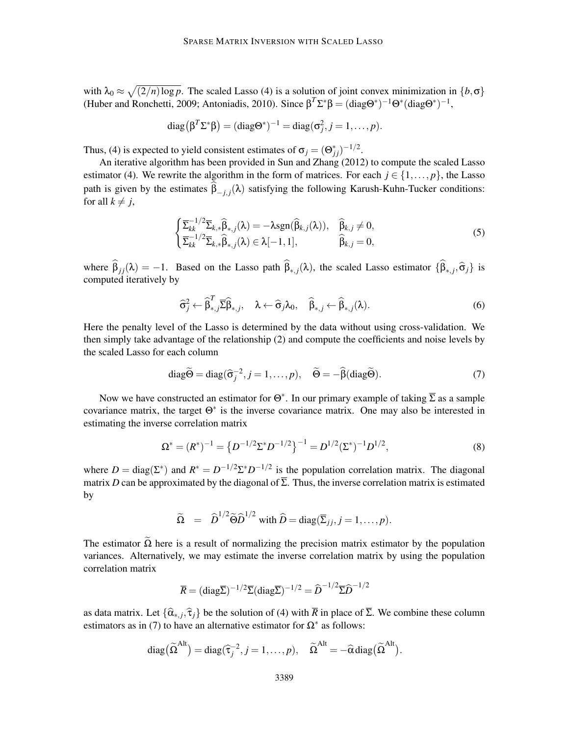with  $\lambda_0 \approx \sqrt{(2/n) \log p}$ . The scaled Lasso (4) is a solution of joint convex minimization in  $\{b, \sigma\}$ (Huber and Ronchetti, 2009; Antoniadis, 2010). Since  $\beta^T \Sigma^* \beta = (\text{diag}\Theta^*)^{-1} \Theta^* (\text{diag}\Theta^*)^{-1}$ ,

diag(
$$
\beta^T \Sigma^* \beta
$$
) = (diag $\Theta^*$ )<sup>-1</sup> = diag( $\sigma_j^2$ ,  $j = 1, ..., p$ ).

Thus, (4) is expected to yield consistent estimates of  $\sigma_j = (\Theta_{jj}^*)^{-1/2}$ .

An iterative algorithm has been provided in Sun and Zhang (2012) to compute the scaled Lasso estimator (4). We rewrite the algorithm in the form of matrices. For each  $j \in \{1, \ldots, p\}$ , the Lasso path is given by the estimates  $\beta_{-j,j}(\lambda)$  satisfying the following Karush-Kuhn-Tucker conditions: for all  $k \neq j$ ,

$$
\begin{cases} \overline{\Sigma}_{kk}^{-1/2} \overline{\Sigma}_{k,*} \widehat{\beta}_{*,j}(\lambda) = -\lambda \text{sgn}(\widehat{\beta}_{k,j}(\lambda)), & \widehat{\beta}_{k,j} \neq 0, \\ \overline{\Sigma}_{kk}^{-1/2} \overline{\Sigma}_{k,*} \widehat{\beta}_{*,j}(\lambda) \in \lambda[-1,1], & \widehat{\beta}_{k,j} = 0, \end{cases}
$$
\n(5)

where  $\beta_{jj}(\lambda) = -1$ . Based on the Lasso path  $\beta_{*,j}(\lambda)$ , the scaled Lasso estimator  $\{\beta_{*,j}, \hat{\sigma}_j\}$  is computed iteratively by

$$
\widehat{\sigma}_{j}^{2} \leftarrow \widehat{\beta}_{*,j}^{T} \overline{\Sigma} \widehat{\beta}_{*,j}, \quad \lambda \leftarrow \widehat{\sigma}_{j} \lambda_{0}, \quad \widehat{\beta}_{*,j} \leftarrow \widehat{\beta}_{*,j}(\lambda). \tag{6}
$$

Here the penalty level of the Lasso is determined by the data without using cross-validation. We then simply take advantage of the relationship (2) and compute the coefficients and noise levels by the scaled Lasso for each column

diag
$$
\widetilde{\Theta}
$$
 = diag( $\widehat{\sigma}_j^{-2}$ ,  $j = 1,...,p$ ),  $\widetilde{\Theta}$  =  $-\widehat{\beta}$ (diag $\widetilde{\Theta}$ ). (7)

Now we have constructed an estimator for  $\Theta^*$ . In our primary example of taking  $\Sigma$  as a sample covariance matrix, the target  $\Theta^*$  is the inverse covariance matrix. One may also be interested in estimating the inverse correlation matrix

$$
\Omega^* = (R^*)^{-1} = \left\{ D^{-1/2} \Sigma^* D^{-1/2} \right\}^{-1} = D^{1/2} (\Sigma^*)^{-1} D^{1/2},\tag{8}
$$

where  $D = \text{diag}(\Sigma^*)$  and  $R^* = D^{-1/2}\Sigma^* D^{-1/2}$  is the population correlation matrix. The diagonal matrix *D* can be approximated by the diagonal of  $\overline{\Sigma}$ . Thus, the inverse correlation matrix is estimated by

$$
\widetilde{\Omega} = \widehat{D}^{1/2} \widetilde{\Theta} \widehat{D}^{1/2} \text{ with } \widehat{D} = \text{diag}(\overline{\Sigma}_{jj}, j = 1, \dots, p).
$$

The estimator  $\Omega$  here is a result of normalizing the precision matrix estimator by the population variances. Alternatively, we may estimate the inverse correlation matrix by using the population correlation matrix

$$
\overline{R} = (\text{diag}\overline{\Sigma})^{-1/2} \overline{\Sigma} (\text{diag}\overline{\Sigma})^{-1/2} = \widehat{D}^{-1/2} \overline{\Sigma} \widehat{D}^{-1/2}
$$

as data matrix. Let  $\{\hat{\alpha}_{*,j}, \hat{\tau}_j\}$  be the solution of (4) with  $\overline{R}$  in place of  $\Sigma$ . We combine these column estimators as in (7) to have an alternative estimator for  $\Omega^*$  as follows:

diag(
$$
\widetilde{\Omega}^{\text{Alt}}
$$
) = diag( $\widehat{\tau}_j^{-2}$ ,  $j = 1, ..., p$ ),  $\widetilde{\Omega}^{\text{Alt}} = -\widehat{\alpha} \text{diag}(\widetilde{\Omega}^{\text{Alt}})$ .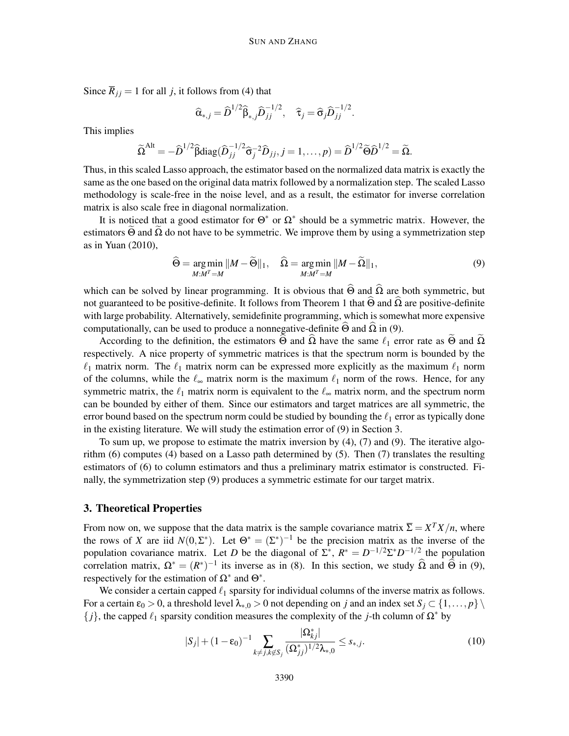Since  $\overline{R}_{ij} = 1$  for all *j*, it follows from (4) that

$$
\widehat{\alpha}_{*,j} = \widehat{D}^{1/2} \widehat{\beta}_{*,j} \widehat{D}_{jj}^{-1/2}, \quad \widehat{\tau}_j = \widehat{\sigma}_j \widehat{D}_{jj}^{-1/2}.
$$

This implies

$$
\widetilde{\Omega}^{\text{Alt}} = -\widehat{D}^{1/2} \widehat{\beta} \text{diag}(\widehat{D}_{jj}^{-1/2} \widehat{\sigma}_j^{-2} \widehat{D}_{jj}, j = 1, \dots, p) = \widehat{D}^{1/2} \widetilde{\Theta} \widehat{D}^{1/2} = \widetilde{\Omega}.
$$

Thus, in this scaled Lasso approach, the estimator based on the normalized data matrix is exactly the same as the one based on the original data matrix followed by a normalization step. The scaled Lasso methodology is scale-free in the noise level, and as a result, the estimator for inverse correlation matrix is also scale free in diagonal normalization.

It is noticed that a good estimator for  $\Theta^*$  or  $\Omega^*$  should be a symmetric matrix. However, the estimators  $\Theta$  and  $\Omega$  do not have to be symmetric. We improve them by using a symmetrization step as in Yuan (2010),

$$
\widehat{\Theta} = \underset{M:M^T = M}{\arg \min} ||M - \widetilde{\Theta}||_1, \quad \widehat{\Omega} = \underset{M:M^T = M}{\arg \min} ||M - \widetilde{\Omega}||_1, \tag{9}
$$

which can be solved by linear programming. It is obvious that  $\widehat{\Theta}$  and  $\widehat{\Omega}$  are both symmetric, but not guaranteed to be positive-definite. It follows from Theorem 1 that  $\hat{\Theta}$  and  $\hat{\Omega}$  are positive-definite with large probability. Alternatively, semidefinite programming, which is somewhat more expensive computationally, can be used to produce a nonnegative-definite  $\Theta$  and  $\Omega$  in (9).

According to the definition, the estimators  $\Theta$  and  $\Omega$  have the same  $\ell_1$  error rate as  $\Theta$  and  $\Omega$ respectively. A nice property of symmetric matrices is that the spectrum norm is bounded by the  $\ell_1$  matrix norm. The  $\ell_1$  matrix norm can be expressed more explicitly as the maximum  $\ell_1$  norm of the columns, while the  $\ell_{\infty}$  matrix norm is the maximum  $\ell_1$  norm of the rows. Hence, for any symmetric matrix, the  $\ell_1$  matrix norm is equivalent to the  $\ell_{\infty}$  matrix norm, and the spectrum norm can be bounded by either of them. Since our estimators and target matrices are all symmetric, the error bound based on the spectrum norm could be studied by bounding the  $\ell_1$  error as typically done in the existing literature. We will study the estimation error of (9) in Section 3.

To sum up, we propose to estimate the matrix inversion by (4), (7) and (9). The iterative algorithm (6) computes (4) based on a Lasso path determined by (5). Then (7) translates the resulting estimators of (6) to column estimators and thus a preliminary matrix estimator is constructed. Finally, the symmetrization step (9) produces a symmetric estimate for our target matrix.

# 3. Theoretical Properties

From now on, we suppose that the data matrix is the sample covariance matrix  $\overline{\Sigma} = X^T X/n$ , where the rows of *X* are iid  $N(0, \Sigma^*)$ . Let  $\Theta^* = (\Sigma^*)^{-1}$  be the precision matrix as the inverse of the population covariance matrix. Let *D* be the diagonal of  $\Sigma^*$ ,  $R^* = D^{-1/2} \Sigma^* D^{-1/2}$  the population correlation matrix,  $\Omega^* = (R^*)^{-1}$  its inverse as in (8). In this section, we study  $\Omega$  and  $\Theta$  in (9), respectively for the estimation of  $\Omega^*$  and  $\Theta^*$ .

We consider a certain capped  $\ell_1$  sparsity for individual columns of the inverse matrix as follows. For a certain  $\varepsilon_0 > 0$ , a threshold level  $\lambda_{*,0} > 0$  not depending on *j* and an index set  $S_i \subset \{1,\ldots,p\}$  ${j}$ , the capped  $\ell_1$  sparsity condition measures the complexity of the *j*-th column of  $\Omega^*$  by

$$
|S_j| + (1 - \varepsilon_0)^{-1} \sum_{k \neq j, k \notin S_j} \frac{|\Omega_{kj}^*|}{(\Omega_{jj}^*)^{1/2} \lambda_{*,0}} \le s_{*,j}.
$$
 (10)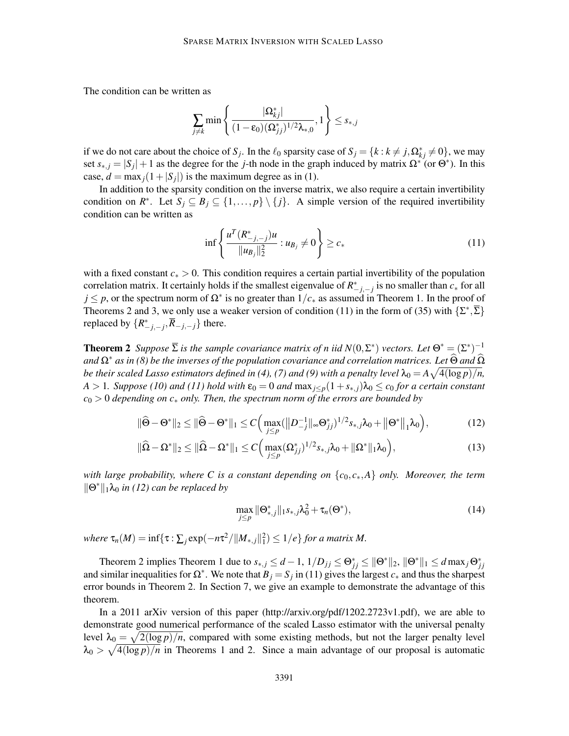The condition can be written as

$$
\sum_{j\neq k} \min\left\{\frac{|\Omega^*_{kj}|}{(1-\epsilon_0)(\Omega^*_{jj})^{1/2}\lambda_{*,0}},1\right\} \leq s_{*,j}
$$

if we do not care about the choice of *S<sub>j</sub>*. In the  $\ell_0$  sparsity case of  $S_j = \{k : k \neq j, \Omega_{kj}^* \neq 0\}$ , we may set  $s_{*,j} = |S_j| + 1$  as the degree for the *j*-th node in the graph induced by matrix  $\Omega^*$  (or  $\Theta^*$ ). In this case,  $d = \max_j(1 + |S_j|)$  is the maximum degree as in (1).

In addition to the sparsity condition on the inverse matrix, we also require a certain invertibility condition on  $R^*$ . Let  $S_j \subseteq B_j \subseteq \{1, ..., p\} \setminus \{j\}$ . A simple version of the required invertibility condition can be written as

$$
\inf \left\{ \frac{u^T (R_{-j,-j}^*) u}{\|u_{B_j}\|_2^2} : u_{B_j} \neq 0 \right\} \ge c_* \tag{11}
$$

with a fixed constant *c*<sup>∗</sup> > 0. This condition requires a certain partial invertibility of the population correlation matrix. It certainly holds if the smallest eigenvalue of  $R^*_{-j,-j}$  is no smaller than  $c^*$  for all  $j \leq p$ , or the spectrum norm of  $\Omega^*$  is no greater than  $1/c_*$  as assumed in Theorem 1. In the proof of Theorems 2 and 3, we only use a weaker version of condition (11) in the form of (35) with  $\{\Sigma^*, \overline{\Sigma}\}$ replaced by  $\{R_{-j,-j}^*, \overline{R}_{-j,-j}\}$  there.

**Theorem 2** Suppose  $\overline{\Sigma}$  is the sample covariance matrix of n iid  $N(0,\Sigma^*)$  vectors. Let  $\Theta^* = (\Sigma^*)^{-1}$ *and*  $Ω*$  *as in (8) be the inverses of the population covariance and correlation matrices. Let Θ and* Ω *be their scaled Lasso estimators defined in (4), (7) and (9) with a penalty level*  $\lambda_0 = A\sqrt{4(\log p)/n}$ ,  $A > 1$ *. Suppose* (10) and (11) hold with  $\varepsilon_0 = 0$  and  $\max_{j \leq p} (1 + s_{\ast,j}) \lambda_0 \leq c_0$  for a certain constant *c*<sup>0</sup> > 0 *depending on c*<sup>∗</sup> *only. Then, the spectrum norm of the errors are bounded by*

$$
\|\widehat{\Theta} - \Theta^*\|_2 \le \|\widehat{\Theta} - \Theta^*\|_1 \le C \Big( \max_{j \le p} (\big\| D_{-j}^{-1} \|_{\infty} \Theta^*_{jj})^{1/2} s_{*,j} \lambda_0 + \big\| \Theta^*\big\|_1 \lambda_0 \Big), \tag{12}
$$

$$
\|\widehat{\Omega}-\Omega^*\|_2\leq \|\widehat{\Omega}-\Omega^*\|_1\leq C\Big(\max_{j\leq p}(\Omega^*_{jj})^{1/2}s_{*,j}\lambda_0+\|\Omega^*\|_1\lambda_0\Big),\tag{13}
$$

*with large probability, where C is a constant depending on*  $\{c_0, c_*, A\}$  *only. Moreover, the term*  $\|\Theta^*\|_1\lambda_0$  *in (12) can be replaced by* 

$$
\max_{j \le p} \|\Theta^*_{*,j}\|_{1} s_{*,j} \lambda_0^2 + \tau_n(\Theta^*),
$$
\n(14)

 $where \tau_n(M) = \inf \{ \tau : \sum_j \exp(-n\tau^2 / ||M_{*,j}||_1^2) \leq 1/e \}$  *for a matrix M.* 

Theorem 2 implies Theorem 1 due to  $s_{*,j} \leq d-1$ ,  $1/D_{jj} \leq \Theta_{jj}^* \leq ||\Theta^*||_2$ ,  $||\Theta^*||_1 \leq d \max_j \Theta_{jj}^*$ and similar inequalities for  $\Omega^*$ . We note that  $B_j = S_j$  in (11) gives the largest  $c_*$  and thus the sharpest error bounds in Theorem 2. In Section 7, we give an example to demonstrate the advantage of this theorem.

In a 2011 arXiv version of this paper (http://arxiv.org/pdf/1202.2723v1.pdf), we are able to demonstrate good numerical performance of the scaled Lasso estimator with the universal penalty level  $\lambda_0 = \sqrt{2(\log p)/n}$ , compared with some existing methods, but not the larger penalty level  $\lambda_0 > \sqrt{4(\log p)/n}$  in Theorems 1 and 2. Since a main advantage of our proposal is automatic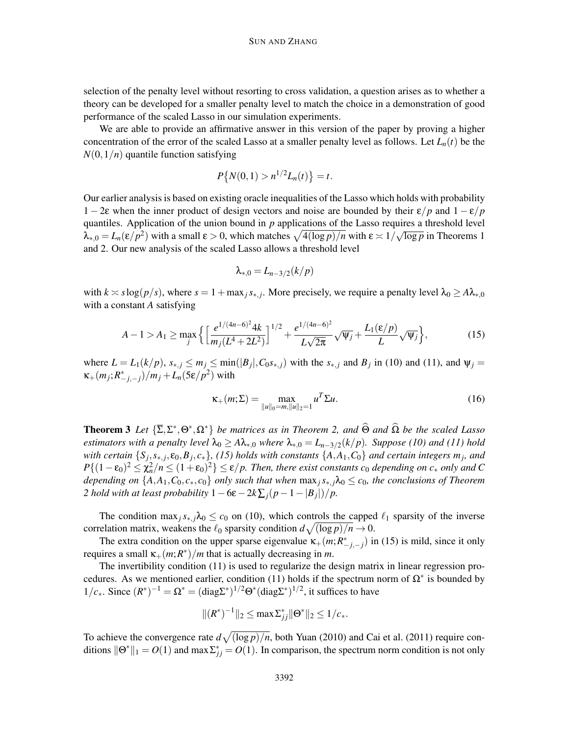selection of the penalty level without resorting to cross validation, a question arises as to whether a theory can be developed for a smaller penalty level to match the choice in a demonstration of good performance of the scaled Lasso in our simulation experiments.

We are able to provide an affirmative answer in this version of the paper by proving a higher concentration of the error of the scaled Lasso at a smaller penalty level as follows. Let  $L_n(t)$  be the  $N(0,1/n)$  quantile function satisfying

$$
P\{N(0,1) > n^{1/2}L_n(t)\} = t.
$$

Our earlier analysis is based on existing oracle inequalities of the Lasso which holds with probability 1 − 2ε when the inner product of design vectors and noise are bounded by their ε/*p* and 1 − ε/*p* quantiles. Application of the union bound in *p* applications of the Lasso requires a threshold level  $\lambda_{*,0} = L_n(\varepsilon/p^2)$  with a small  $\varepsilon > 0$ , which matches  $\sqrt{4(\log p)/n}$  with  $\varepsilon > 1/\sqrt{\log p}$  in Theorems 1 and 2. Our new analysis of the scaled Lasso allows a threshold level

$$
\lambda_{*,0}=L_{n-3/2}(k/p)
$$

with  $k \approx s \log(p/s)$ , where  $s = 1 + \max_j s_{*,j}$ . More precisely, we require a penalty level  $\lambda_0 \geq A\lambda_{*,0}$ with a constant *A* satisfying

$$
A - 1 > A_1 \ge \max_j \left\{ \left[ \frac{e^{1/(4n-6)^2} 4k}{m_j (L^4 + 2L^2)} \right]^{1/2} + \frac{e^{1/(4n-6)^2}}{L \sqrt{2\pi}} \sqrt{\Psi_j} + \frac{L_1(\varepsilon/p)}{L} \sqrt{\Psi_j} \right\},\tag{15}
$$

where  $L = L_1(k/p)$ ,  $s_{*,j} \le m_j \le \min(|B_j|, C_0 s_{*,j})$  with the  $s_{*,j}$  and  $B_j$  in (10) and (11), and  $\Psi_j =$  $\kappa_{+}(m_j; R^*_{-j,-j})/m_j + L_n(5\varepsilon/p^2)$  with

$$
\kappa_{+}(m;\Sigma) = \max_{\|u\|_{0} = m, \|u\|_{2} = 1} u^{T} \Sigma u.
$$
 (16)

**Theorem 3** Let  $\{\Sigma, \Sigma^*, \Theta^*, \Omega^*\}$  *be matrices as in Theorem 2, and*  $\Theta$  *and*  $\Omega$  *be the scaled Lasso estimators with a penalty level*  $\lambda_0 \geq A\lambda_{*,0}$  *where*  $\lambda_{*,0} = L_{n-3/2}(k/p)$ *. Suppose* (10) and (11) hold *with certain*  $\{S_j, s_{*,j}, \varepsilon_0, B_j, c_*\}$ , (15) holds with constants  $\{A, A_1, C_0\}$  and certain integers  $m_j$ , and  $P\{(1-\varepsilon_0)^2 \leq \chi_n^2/n \leq (1+\varepsilon_0)^2\} \leq \varepsilon/p$ . Then, there exist constants  $c_0$  depending on  $c_*$  only and C *depending on*  $\{A, A_1, C_0, c_*, c_0\}$  *only such that when*  $\max_j s_{*,j} \lambda_0 \leq c_0$ *, the conclusions of Theorem 2 hold with at least probability*  $1 - 6\varepsilon - 2k\sum_j (p - 1 - |B_j|)/p$ .

The condition max<sub>*j*</sub> $s_{*,j}$ λ<sub>0</sub>  $\leq$  *c*<sub>0</sub> on (10), which controls the capped  $\ell_1$  sparsity of the inverse correlation matrix, weakens the  $\ell_0$  sparsity condition  $d\sqrt{(\log p)/n} \to 0$ .

The extra condition on the upper sparse eigenvalue  $\kappa_+(m;R^*_{-j,-j})$  in (15) is mild, since it only requires a small  $\kappa_+(m;R^*)/m$  that is actually decreasing in *m*.

The invertibility condition (11) is used to regularize the design matrix in linear regression procedures. As we mentioned earlier, condition (11) holds if the spectrum norm of  $\Omega^*$  is bounded by  $1/c_*$ . Since  $(R^*)^{-1} = \Omega^* = (\text{diag}\Sigma^*)^{1/2}\Theta^* (\text{diag}\Sigma^*)^{1/2}$ , it suffices to have

$$
||(R^*)^{-1}||_2 \leq \max \sum_{j}^* ||\Theta^*||_2 \leq 1/c_*.
$$

To achieve the convergence rate  $d\sqrt{(\log p)/n}$ , both Yuan (2010) and Cai et al. (2011) require conditions  $\|\Theta^*\|_1 = O(1)$  and max  $\Sigma^*_{jj} = O(1)$ . In comparison, the spectrum norm condition is not only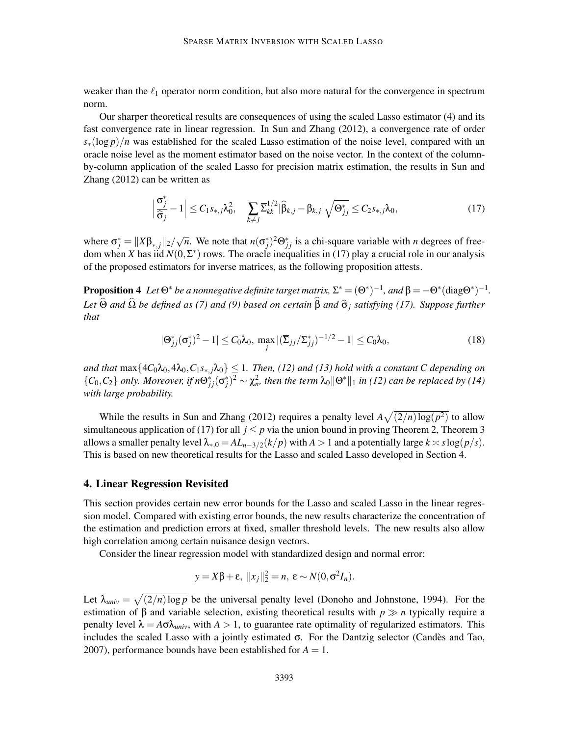weaker than the  $\ell_1$  operator norm condition, but also more natural for the convergence in spectrum norm.

Our sharper theoretical results are consequences of using the scaled Lasso estimator (4) and its fast convergence rate in linear regression. In Sun and Zhang (2012), a convergence rate of order *s*∗(log *p*)/*n* was established for the scaled Lasso estimation of the noise level, compared with an oracle noise level as the moment estimator based on the noise vector. In the context of the columnby-column application of the scaled Lasso for precision matrix estimation, the results in Sun and Zhang (2012) can be written as

$$
\left|\frac{\sigma_j^*}{\hat{\sigma}_j} - 1\right| \leq C_1 s_{*,j} \lambda_0^2, \quad \sum_{k \neq j} \overline{\Sigma}_{kk}^{1/2} |\widehat{\beta}_{k,j} - \beta_{k,j}| \sqrt{\Theta_{jj}^*} \leq C_2 s_{*,j} \lambda_0,
$$
\n(17)

where  $\sigma_j^* = ||X\beta_{*,j}||_2 / \sqrt{n}$ . We note that  $n(\sigma_j^*)^2 \Theta_{jj}^*$  is a chi-square variable with *n* degrees of freedom when *X* has iid  $N(0, \Sigma^*)$  rows. The oracle inequalities in (17) play a crucial role in our analysis of the proposed estimators for inverse matrices, as the following proposition attests.

**Proposition 4** Let  $\Theta^*$  be a nonnegative definite target matrix,  $\Sigma^* = (\Theta^*)^{-1}$ , and  $\beta = -\Theta^*({\rm diag}\Theta^*)^{-1}$ . *Let*  $\widehat{\Theta}$  *and*  $\widehat{\Omega}$  *be defined as (7) and (9) based on certain*  $\widehat{\beta}$  *and*  $\widehat{\sigma}_j$  *satisfying (17). Suppose further that*

$$
|\Theta_{jj}^*(\sigma_j^*)^2 - 1| \le C_0 \lambda_0, \max_j |(\overline{\Sigma}_{jj}/\Sigma_{jj}^*)^{-1/2} - 1| \le C_0 \lambda_0,
$$
\n(18)

*and that*  $\max\{4C_0\lambda_0, 4\lambda_0, C_1s_{*,j}\lambda_0\} \leq 1$ . Then, (12) and (13) hold with a constant C depending on  ${C_0, C_2}$  *only. Moreover, if*  $n\Theta_{jj}^*(\sigma_j^*)^2 \sim \chi_n^2$ , then the term  $\lambda_0 \|\Theta^*\|_1$  in (12) can be replaced by (14) *with large probability.*

While the results in Sun and Zhang (2012) requires a penalty level  $A\sqrt{(2/n)\log(p^2)}$  to allow simultaneous application of (17) for all  $j \leq p$  via the union bound in proving Theorem 2, Theorem 3 allows a smaller penalty level  $\lambda_{*,0} = AL_{n-3/2}(k/p)$  with  $A > 1$  and a potentially large  $k \approx s \log(p/s)$ . This is based on new theoretical results for the Lasso and scaled Lasso developed in Section 4.

#### 4. Linear Regression Revisited

This section provides certain new error bounds for the Lasso and scaled Lasso in the linear regression model. Compared with existing error bounds, the new results characterize the concentration of the estimation and prediction errors at fixed, smaller threshold levels. The new results also allow high correlation among certain nuisance design vectors.

Consider the linear regression model with standardized design and normal error:

$$
y = X\beta + \varepsilon, \; ||x_j||_2^2 = n, \; \varepsilon \sim N(0, \sigma^2 I_n).
$$

Let  $\lambda_{univ} = \sqrt{(2/n) \log p}$  be the universal penalty level (Donoho and Johnstone, 1994). For the estimation of β and variable selection, existing theoretical results with *p* ≫ *n* typically require a penalty level  $\lambda = A\sigma\lambda_{univ}$ , with  $A > 1$ , to guarantee rate optimality of regularized estimators. This includes the scaled Lasso with a jointly estimated  $\sigma$ . For the Dantzig selector (Candes and Tao, 2007), performance bounds have been established for  $A = 1$ .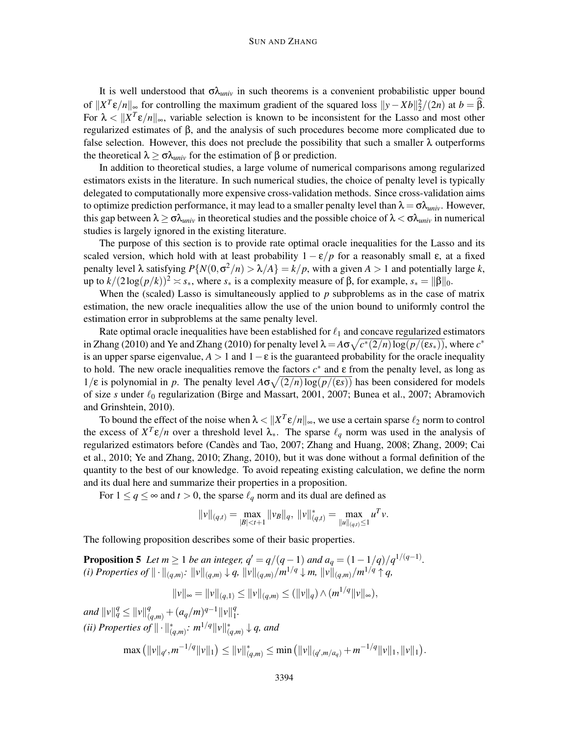#### SUN AND ZHANG

It is well understood that  $\sigma \lambda_{univ}$  in such theorems is a convenient probabilistic upper bound of  $||X^T \varepsilon/n||_{\infty}$  for controlling the maximum gradient of the squared loss  $||y - Xb||_2^2/(2n)$  at  $b = \beta$ . For  $\lambda < ||X^T \varepsilon/n||_{\infty}$ , variable selection is known to be inconsistent for the Lasso and most other regularized estimates of β, and the analysis of such procedures become more complicated due to false selection. However, this does not preclude the possibility that such a smaller  $\lambda$  outperforms the theoretical  $\lambda \geq \sigma \lambda_{univ}$  for the estimation of β or prediction.

In addition to theoretical studies, a large volume of numerical comparisons among regularized estimators exists in the literature. In such numerical studies, the choice of penalty level is typically delegated to computationally more expensive cross-validation methods. Since cross-validation aims to optimize prediction performance, it may lead to a smaller penalty level than  $\lambda = \sigma \lambda_{univ}$ . However, this gap between  $\lambda \geq \sigma \lambda_{\text{univ}}$  in theoretical studies and the possible choice of  $\lambda < \sigma \lambda_{\text{univ}}$  in numerical studies is largely ignored in the existing literature.

The purpose of this section is to provide rate optimal oracle inequalities for the Lasso and its scaled version, which hold with at least probability  $1 - \varepsilon/p$  for a reasonably small  $\varepsilon$ , at a fixed penalty level  $\lambda$  satisfying  $P\{N(0, \sigma^2/n) > \lambda/A\} = k/p$ , with a given  $A > 1$  and potentially large *k*, up to  $k/(2\log(p/k))^2 \approx s_*$ , where  $s_*$  is a complexity measure of  $\beta$ , for example,  $s_* = ||\beta||_0$ .

When the (scaled) Lasso is simultaneously applied to p subproblems as in the case of matrix estimation, the new oracle inequalities allow the use of the union bound to uniformly control the estimation error in subproblems at the same penalty level.

Rate optimal oracle inequalities have been established for  $\ell_1$  and concave regularized estimators in Zhang (2010) and Ye and Zhang (2010) for penalty level  $\lambda = A\sigma\sqrt{c^*(2/n)\log(p/(es_*))}$ , where  $c^*$ is an upper sparse eigenvalue,  $A > 1$  and  $1 - \varepsilon$  is the guaranteed probability for the oracle inequality to hold. The new oracle inequalities remove the factors  $c^*$  and  $\varepsilon$  from the penalty level, as long as 1/ε is polynomial in *p*. The penalty level  $A\sigma\sqrt{(2/n)\log(p/(\epsilon s))}$  has been considered for models of size *s* under  $\ell_0$  regularization (Birge and Massart, 2001, 2007; Bunea et al., 2007; Abramovich and Grinshtein, 2010).

To bound the effect of the noise when  $\lambda < ||X^T \varepsilon/n||_{\infty}$ , we use a certain sparse  $\ell_2$  norm to control the excess of  $X^T \varepsilon/n$  over a threshold level  $\lambda_*$ . The sparse  $\ell_q$  norm was used in the analysis of regularized estimators before (Candes and Tao, 2007; Zhang and Huang, 2008; Zhang, 2009; Cai ` et al., 2010; Ye and Zhang, 2010; Zhang, 2010), but it was done without a formal definition of the quantity to the best of our knowledge. To avoid repeating existing calculation, we define the norm and its dual here and summarize their properties in a proposition.

For  $1 \le q \le \infty$  and  $t > 0$ , the sparse  $\ell_q$  norm and its dual are defined as

$$
||v||_{(q,t)} = \max_{|B| < t+1} ||v_B||_q, ||v||_{(q,t)}^* = \max_{||u||_{(q,t)} \le 1} u^T v.
$$

The following proposition describes some of their basic properties.

**Proposition 5** *Let*  $m \ge 1$  *be an integer,*  $q' = q/(q-1)$  *and*  $a_q = (1-1/q)/q^{1/(q-1)}$ *.*  $(i)$  Properties of  $\|\cdot\|_{(q,m)}$ :  $\|v\|_{(q,m)} \downarrow q$ ,  $\|v\|_{(q,m)}/m^{1/q} \downarrow m$ ,  $\|v\|_{(q,m)}/m^{1/q} \uparrow q$ ,

$$
||v||_{\infty} = ||v||_{(q,1)} \leq ||v||_{(q,m)} \leq (||v||_q) \wedge (m^{1/q}||v||_{\infty}),
$$

 $\|u\|_q^q \le \|v\|_{(q,m)}^q + (a_q/m)^{q-1}\|v\|_1^q$ 1 *.*  $(iii)$  Properties of  $\|\cdot\|_{(q,m)}^*$ :  $m^{1/q}\|v\|_{(q,m)}^*\downarrow q$ , and

$$
\max\left( \|\nu\|_{q'}, m^{-1/q} \|\nu\|_1 \right) \le \|\nu\|_{(q,m)}^* \le \min\left( \|\nu\|_{(q',m/a_q)} + m^{-1/q} \|\nu\|_1, \|\nu\|_1 \right).
$$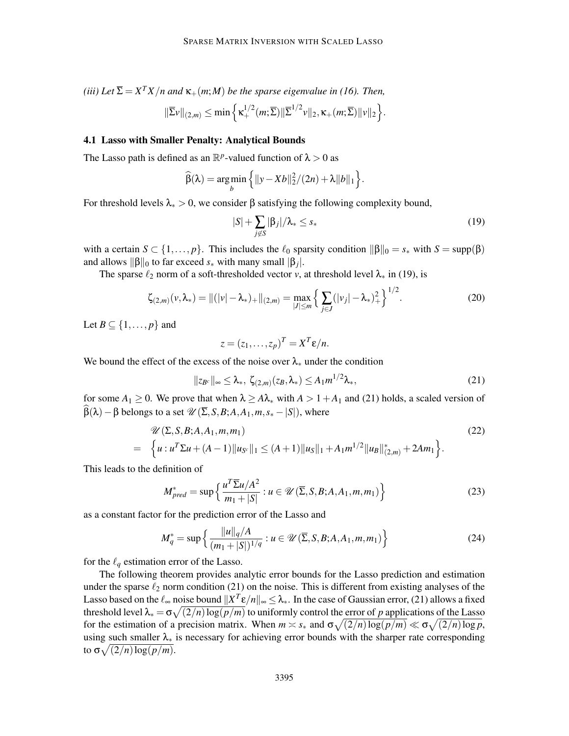*(iii)* Let  $\overline{\Sigma} = X^T X/n$  and  $\kappa_+(m;M)$  be the sparse eigenvalue in (16). Then,  $\|\overline{\Sigma}v\|_{(2,m)} \le \min\left\{\kappa_+^{1/2}(m;\overline{\Sigma})\|\overline{\Sigma}^{1/2}v\|_2, \kappa_+(m;\overline{\Sigma})\|v\|_2\right\}.$ 

# 4.1 Lasso with Smaller Penalty: Analytical Bounds

The Lasso path is defined as an  $\mathbb{R}^p$ -valued function of  $\lambda > 0$  as

$$
\widehat{\beta}(\lambda) = \underset{b}{\arg\min} \left\{ ||y - Xb||_2^2 / (2n) + \lambda ||b||_1 \right\}.
$$

For threshold levels  $\lambda_* > 0$ , we consider  $\beta$  satisfying the following complexity bound,

$$
|S| + \sum_{j \notin S} |\beta_j| / \lambda_* \le s_* \tag{19}
$$

with a certain  $S \subset \{1,\ldots,p\}$ . This includes the  $\ell_0$  sparsity condition  $\|\beta\|_0 = s_*$  with  $S = \text{supp}(\beta)$ and allows  $\|\beta\|_0$  to far exceed  $s_*$  with many small  $|\beta_j|$ .

The sparse  $\ell_2$  norm of a soft-thresholded vector *v*, at threshold level  $\lambda_*$  in (19), is

$$
\zeta_{(2,m)}(\nu,\lambda_*) = ||(|\nu| - \lambda_*)_+||_{(2,m)} = \max_{|J| \le m} \left\{ \sum_{j \in J} (|\nu_j| - \lambda_*)^2_+ \right\}^{1/2}.
$$
 (20)

Let  $B \subseteq \{1, \ldots, p\}$  and

$$
z=(z_1,\ldots,z_p)^T=X^T\mathcal{E}/n.
$$

We bound the effect of the excess of the noise over  $\lambda_*$  under the condition

$$
||z_{B^c}||_{\infty} \leq \lambda_*, \ \zeta_{(2,m)}(z_B, \lambda_*) \leq A_1 m^{1/2} \lambda_*, \tag{21}
$$

for some  $A_1 \geq 0$ . We prove that when  $\lambda \geq A\lambda_*$  with  $A > 1 + A_1$  and (21) holds, a scaled version of  $\beta(\lambda) - \beta$  belongs to a set  $\mathcal{U}(\overline{\Sigma}, S, B; A, A_1, m, s_* - |S|)$ , where

$$
\mathcal{U}(\Sigma, S, B; A, A_1, m, m_1) \n= \left\{ u : u^T \Sigma u + (A - 1) \| u_{S^c} \|_1 \le (A + 1) \| u_{S} \|_1 + A_1 m^{1/2} \| u_{B} \|_{(2,m)}^* + 2Am_1 \right\}.
$$
\n(22)

This leads to the definition of

$$
M_{pred}^{*} = \sup \left\{ \frac{u^{T} \overline{\Sigma} u/A^{2}}{m_{1} + |S|} : u \in \mathcal{U}(\overline{\Sigma}, S, B; A, A_{1}, m, m_{1}) \right\}
$$
(23)

as a constant factor for the prediction error of the Lasso and

$$
M_q^* = \sup \left\{ \frac{\|u\|_q/A}{(m_1 + |S|)^{1/q}} : u \in \mathcal{U}(\overline{\Sigma}, S, B; A, A_1, m, m_1) \right\}
$$
(24)

for the  $\ell_q$  estimation error of the Lasso.

The following theorem provides analytic error bounds for the Lasso prediction and estimation under the sparse  $\ell_2$  norm condition (21) on the noise. This is different from existing analyses of the Lasso based on the  $\ell_{\infty}$  noise bound  $||X^T \varepsilon/n||_{\infty} \leq \lambda_{*}$ . In the case of Gaussian error, (21) allows a fixed threshold level  $\lambda_* = \sigma \sqrt{(2/n) \log(p/m)}$  to uniformly control the error of *p* applications of the Lasso for the estimation of a precision matrix. When  $m \asymp s_*$  and  $\sigma \sqrt{(2/n) \log(p/m)} \ll \sigma \sqrt{(2/n) \log p}$ , using such smaller  $\lambda_*$  is necessary for achieving error bounds with the sharper rate corresponding to  $\sigma \sqrt{(2/n) \log(p/m)}$ .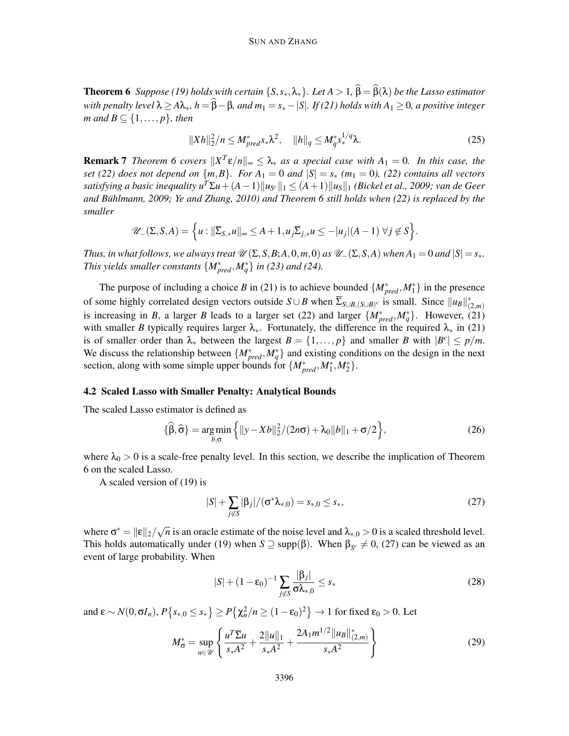**Theorem 6** *Suppose (19) holds with certain*  $\{S, s_*, \lambda_*\}$ *. Let*  $A > 1$ ,  $\beta = \beta(\lambda)$  *be the Lasso estimator with penalty level*  $\lambda \geq A\lambda_*, h = \hat{\beta} - \beta$ *, and*  $m_1 = s_* - |S|$ *. If (21) holds with*  $A_1 \geq 0$ *, a positive integer m* and  $B \subseteq \{1, \ldots, p\}$ *, then* 

$$
||Xh||_2^2/n \le M_{pred}^* s_* \lambda^2, \quad ||h||_q \le M_q^* s_*^{1/q} \lambda. \tag{25}
$$

**Remark 7** *Theorem 6 covers*  $||X^T \varepsilon/n||_{\infty} \leq \lambda_*$  *as a special case with*  $A_1 = 0$ *. In this case, the set* (22) does not depend on  $\{m,B\}$ . For  $A_1 = 0$  and  $|S| = s_*$   $(m_1 = 0)$ , (22) contains all vectors *satisfying a basic inequality*  $u^T \Sigma u + (A-1) \|u_{S^c}\|_1 \leq (A+1) \|u_S\|_1$  *(Bickel et al., 2009; van de Geer and Buhlmann, 2009; Ye and Zhang, 2010) and Theorem 6 still holds when (2 ¨ 2) is replaced by the smaller*

$$
\mathscr{U}_{-}(\Sigma,S,A)=\Big\{u: \|\overline{\Sigma}_{S,*}u\|_{\infty}\leq A+1, u_j\overline{\Sigma}_{j,*}u\leq -|u_j|(A-1)\,\,\forall j\not\in S\Big\}.
$$

*Thus, in what follows, we always treat*  $\mathcal{U}(\Sigma, S, B; A, 0, m, 0)$  *as*  $\mathcal{U}_-(\Sigma, S, A)$  *when*  $A_1 = 0$  *and*  $|S| = s_*$ *. This yields smaller constants*  $\{M_{pred}^*, M_q^*\}$  *in (23) and (24).* 

The purpose of including a choice *B* in (21) is to achieve bounded  $\{M^*_{pred}, M^*_1\}$  in the presence of some highly correlated design vectors outside  $S \cup B$  when  $\Sigma_{S \cup B, (S \cup B)^c}$  is small. Since  $||u_B||_{(2,m)}^*$ is increasing in *B*, a larger *B* leads to a larger set (22) and larger  $\{M_{pred}^*, M_q^*\}$ . However, (21) with smaller *B* typically requires larger  $\lambda_*$ . Fortunately, the difference in the required  $\lambda_*$  in (21) is of smaller order than  $\lambda_*$  between the largest  $B = \{1, ..., p\}$  and smaller *B* with  $|B^c| \leq p/m$ . We discuss the relationship between  $\{M_{pred}^*, M_q^*\}$  and existing conditions on the design in the next section, along with some simple upper bounds for  $\{M_{pred}^*, M_1^*, M_2^*\}$ .

#### 4.2 Scaled Lasso with Smaller Penalty: Analytical Bounds

The scaled Lasso estimator is defined as

$$
\{\widehat{\beta},\widehat{\sigma}\} = \underset{b,\sigma}{\arg\min} \left\{ ||y - Xb||_2^2 / (2n\sigma) + \lambda_0 ||b||_1 + \sigma/2 \right\},\tag{26}
$$

where  $\lambda_0 > 0$  is a scale-free penalty level. In this section, we describe the implication of Theorem 6 on the scaled Lasso.

A scaled version of (19) is

$$
|S| + \sum_{j \notin S} |\beta_j|/(\sigma^* \lambda_{*,0}) = s_{*,0} \le s_*,
$$
 (27)

where  $\sigma^* = ||\varepsilon||_2 / \sqrt{n}$  is an oracle estimate of the noise level and  $\lambda_{*,0} > 0$  is a scaled threshold level. This holds automatically under (19) when  $S \supseteq$  supp( $\beta$ ). When  $\beta_{S^c} \neq 0$ , (27) can be viewed as an event of large probability. When

$$
|S| + (1 - \varepsilon_0)^{-1} \sum_{j \notin S} \frac{|\beta_j|}{\sigma \lambda_{*,0}} \le s_* \tag{28}
$$

and  $\epsilon \sim N(0, \sigma I_n)$ ,  $P\{s_{*,0} \le s_*\} \ge P\{\chi_n^2/n \ge (1-\epsilon_0)^2\} \to 1$  for fixed  $\epsilon_0 > 0$ . Let

$$
M_{\sigma}^{*} = \sup_{u \in \mathcal{U}} \left\{ \frac{u^{T} \overline{\Sigma} u}{s_{*} A^{2}} + \frac{2||u||_{1}}{s_{*} A^{2}} + \frac{2A_{1} m^{1/2} ||u_{B}||_{(2,m)}^{*}}{s_{*} A^{2}} \right\}
$$
(29)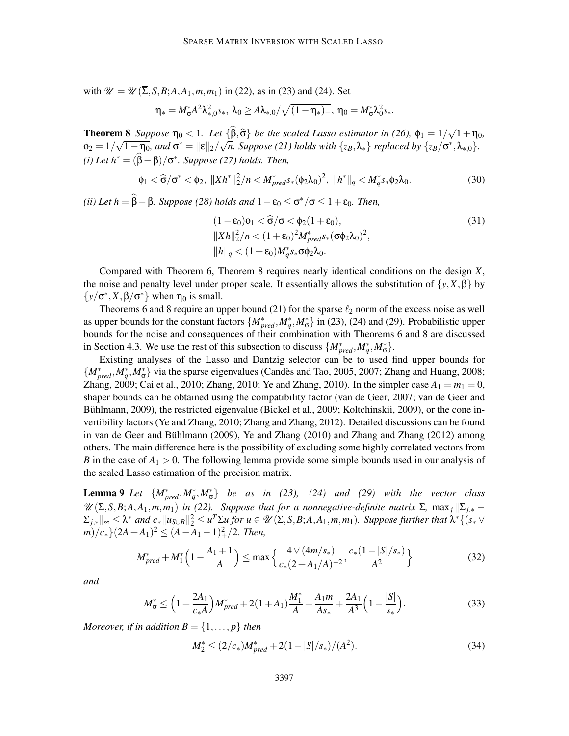with  $\mathcal{U} = \mathcal{U}(\overline{\Sigma}, S, B; A, A_1, m, m_1)$  in (22), as in (23) and (24). Set

$$
\eta_*=M_\sigma^*A^2\lambda_{*,0}^2s_*, \ \lambda_0\geq A\lambda_{*,0}/\sqrt{(1-\eta_*)_+}, \ \eta_0=M_\sigma^*\lambda_0^2s_*.
$$

**Theorem 8** Suppose  $\eta_0 < 1$ . Let  $\{\widehat{\beta}, \widehat{\sigma}\}$  be the scaled Lasso estimator in (26),  $\phi_1 = 1/\sqrt{1+\eta_0}$ ,  $\phi_2 = 1/\sqrt{1-\eta_0}$ , and  $\sigma^* = ||\varepsilon||_2/\sqrt{n}$ . Suppose (21) holds with  $\{z_B, \lambda_*\}$  replaced by  $\{z_B/\sigma^*, \lambda_{*,0}\}$ .  $(i)$  Let  $h^* = (\beta - \beta)/\sigma^*$ . Suppose (27) holds. Then,

$$
\phi_1 < \hat{\sigma}/\sigma^* < \phi_2, \quad \|Xh^*\|_2^2 / n < M_{pred}^* s_*(\phi_2 \lambda_0)^2, \quad \|h^*\|_q < M_q^* s_* \phi_2 \lambda_0. \tag{30}
$$

 $(iii)$  Let  $h = \beta - \beta$ *. Suppose* (28) holds and  $1 - \varepsilon_0 \le \sigma^*/\sigma \le 1 + \varepsilon_0$ *. Then,* 

$$
(1 - \varepsilon_0)\phi_1 < \widehat{\sigma}/\sigma < \phi_2(1 + \varepsilon_0),
$$
  
\n
$$
||Xh||_2^2/n < (1 + \varepsilon_0)^2 M_{pred}^* s_*(\sigma \phi_2 \lambda_0)^2,
$$
  
\n
$$
||h||_q < (1 + \varepsilon_0) M_q^* s_* \sigma \phi_2 \lambda_0.
$$
\n(31)

Compared with Theorem 6, Theorem 8 requires nearly identical conditions on the design *X*, the noise and penalty level under proper scale. It essentially allows the substitution of  $\{y, X, \beta\}$  by  $\{y/\sigma^*, X, \beta/\sigma^*\}$  when  $\eta_0$  is small.

Theorems 6 and 8 require an upper bound (21) for the sparse  $\ell_2$  norm of the excess noise as well as upper bounds for the constant factors  $\{M^*_{pred}, M^*_q, M^*_\sigma\}$  in (23), (24) and (29). Probabilistic upper bounds for the noise and consequences of their combination with Theorems 6 and 8 are discussed in Section 4.3. We use the rest of this subsection to discuss  $\{M_{pred}^*, M_q^*, M_\sigma^*\}.$ 

Existing analyses of the Lasso and Dantzig selector can be to used find upper bounds for  $\{M^*_{pred}, M^*_q, M^*_\sigma\}$  via the sparse eigenvalues (Candès and Tao, 2005, 2007; Zhang and Huang, 2008; Zhang, 2009; Cai et al., 2010; Zhang, 2010; Ye and Zhang, 2010). In the simpler case  $A_1 = m_1 = 0$ , shaper bounds can be obtained using the compatibility factor (van de Geer, 2007; van de Geer and Bühlmann, 2009), the restricted eigenvalue (Bickel et al., 2009; Koltchinskii, 2009), or the cone invertibility factors (Ye and Zhang, 2010; Zhang and Zhang, 2012). Detailed discussions can be found in van de Geer and Bühlmann (2009), Ye and Zhang  $(2010)$  and Zhang and Zhang  $(2012)$  among others. The main difference here is the possibility of excluding some highly correlated vectors from *B* in the case of  $A_1 > 0$ . The following lemma provide some simple bounds used in our analysis of the scaled Lasso estimation of the precision matrix.

**Lemma 9** Let  $\{M_{pred}^*, M_q^*, M_\sigma^*\}$  be as in (23), (24) and (29) with the vector class  $\mathscr{U}(\overline{\Sigma}, S, B; A, A_1, m, m_1)$  *in* (22). Suppose that for a nonnegative-definite matrix Σ, max<sub>*i*</sub> || $\overline{\Sigma}_{j,*}$  − Σ*j*,∗k<sup>∞</sup> ≤ λ <sup>∗</sup> *and c*∗k*uS*∪*B*k 2 <sup>2</sup> ≤ *u <sup>T</sup>*Σ*u for u* <sup>∈</sup> <sup>U</sup> (Σ,*S*,*B*;*A*,*A*1,*m*,*m*1)*. Suppose further that* <sup>λ</sup> <sup>∗</sup>{(*s*<sup>∗</sup> ∨  $(m)/c_*$ }(2*A*+*A*<sub>1</sub>)<sup>2</sup>  $\leq$  (*A*-*A*<sub>1</sub>-1)<sup>2</sup><sub>+</sub>/2*. Then,* 

$$
M_{pred}^{*} + M_{1}^{*} \left( 1 - \frac{A_{1} + 1}{A} \right) \le \max \left\{ \frac{4 \vee (4m/s_{*})}{c_{*}(2 + A_{1}/A)^{-2}}, \frac{c_{*}(1 - |S|/s_{*})}{A^{2}} \right\}
$$
(32)

*and*

$$
M_{\sigma}^* \le \left(1 + \frac{2A_1}{c_*A}\right) M_{pred}^* + 2(1 + A_1) \frac{M_1^*}{A} + \frac{A_1 m}{A s_*} + \frac{2A_1}{A^3} \left(1 - \frac{|S|}{s_*}\right). \tag{33}
$$

*Moreover, if in addition*  $B = \{1, \ldots, p\}$  *then* 

$$
M_2^* \le (2/c_*)M_{pred}^* + 2(1-|S|/s_*)/(A^2). \tag{34}
$$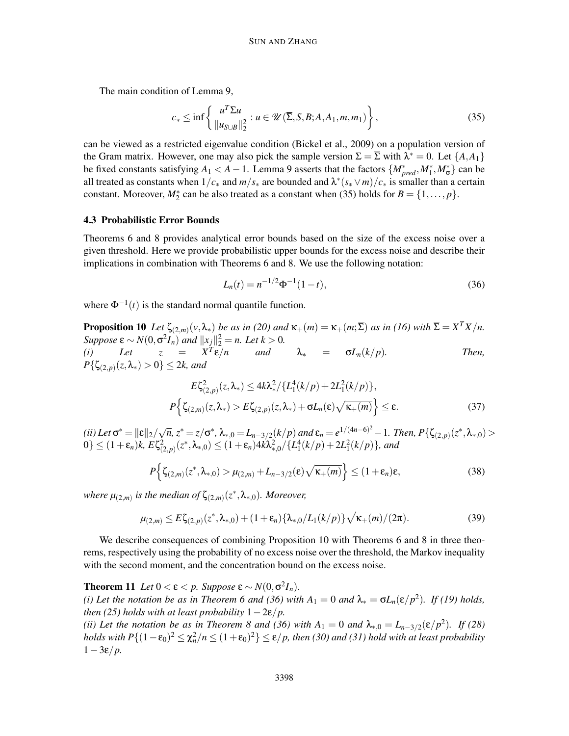The main condition of Lemma 9,

$$
c_* \le \inf \left\{ \frac{u^T \Sigma u}{\|u_{S \cup B}\|_2^2} : u \in \mathcal{U}(\overline{\Sigma}, S, B; A, A_1, m, m_1) \right\},\tag{35}
$$

can be viewed as a restricted eigenvalue condition (Bickel et al., 2009) on a population version of the Gram matrix. However, one may also pick the sample version  $\Sigma = \Sigma$  with  $\lambda^* = 0$ . Let  $\{A, A_1\}$ be fixed constants satisfying  $A_1 < A - 1$ . Lemma 9 asserts that the factors  $\{M^*_{pred}, M^*_1, M^*_0\}$  can be all treated as constants when  $1/c_*$  and  $m/s_*$  are bounded and  $\lambda^*(s_* \vee m)/c_*$  is smaller than a certain constant. Moreover,  $M_2^*$  can be also treated as a constant when (35) holds for  $B = \{1, \ldots, p\}$ .

#### 4.3 Probabilistic Error Bounds

Theorems 6 and 8 provides analytical error bounds based on the size of the excess noise over a given threshold. Here we provide probabilistic upper bounds for the excess noise and describe their implications in combination with Theorems 6 and 8. We use the following notation:

$$
L_n(t) = n^{-1/2} \Phi^{-1}(1-t),
$$
\n(36)

where  $\Phi^{-1}(t)$  is the standard normal quantile function.

**Proposition 10** Let  $\zeta_{(2,m)}(v,\lambda_*)$  be as in (20) and  $\kappa_+(m) = \kappa_+(m;\overline{\Sigma})$  as in (16) with  $\overline{\Sigma} = X^TX/n$ . *Suppose*  $\epsilon \sim N(0, \sigma^2 I_n)$  *and*  $||x_j||_2^2 = n$ *. Let*  $k > 0$ *.* (*i*) Let  $z = X^T \varepsilon / n$  and  $\lambda_* = \sigma L_n(k/p)$ . Then,  $P\{\zeta_{(2,p)}(z,\lambda_*)>0\}\leq 2k$ , and

$$
E\zeta_{(2,p)}^2(z,\lambda_*) \le 4k\lambda_*^2/\{L_1^4(k/p) + 2L_1^2(k/p)\},
$$
  

$$
P\Big\{\zeta_{(2,m)}(z,\lambda_*) > E\zeta_{(2,p)}(z,\lambda_*) + \sigma L_n(\varepsilon)\sqrt{\kappa_+(m)}\Big\} \le \varepsilon.
$$
 (37)

 $\mathcal{L}(\mathbf{i} \mathbf{i})$  Let  $\sigma^* = ||\mathbf{\varepsilon}||_2 / \sqrt{n}, z^* = z/\sigma^*, \lambda_{*,0} = L_{n-3/2}(k/p)$  and  $\mathbf{\varepsilon}_n = e^{1/(4n-6)^2} - 1$ . Then,  $P\{\zeta_{(2,p)}(z^*, \lambda_{*,0}) > 0\}$  $0\} \leq (1+\varepsilon_n)k$ ,  $E\zeta_{(2,p)}^2(z^*,\lambda_{*,0}) \leq (1+\varepsilon_n)4k\lambda_{*,0}^2/\{L_1^4(k/p)+2L_1^2(k/p)\}$ , and

$$
P\left\{\zeta_{(2,m)}(z^*,\lambda_{*,0}) > \mu_{(2,m)} + L_{n-3/2}(\varepsilon)\sqrt{\kappa_{+}(m)}\right\} \le (1+\varepsilon_n)\varepsilon,\tag{38}
$$

where  $\mu_{(2,m)}$  is the median of  $\zeta_{(2,m)}(z^*,\lambda_{*,0})$ *. Moreover,* 

$$
\mu_{(2,m)} \le E\zeta_{(2,p)}(z^*, \lambda_{*,0}) + (1+\varepsilon_n)\{\lambda_{*,0}/L_1(k/p)\}\sqrt{\kappa_{+}(m)/(2\pi)}.
$$
 (39)

We describe consequences of combining Proposition 10 with Theorems 6 and 8 in three theorems, respectively using the probability of no excess noise over the threshold, the Markov inequality with the second moment, and the concentration bound on the excess noise.

**Theorem 11** *Let*  $0 < \varepsilon < p$ *. Suppose*  $\varepsilon \sim N(0, \sigma^2 I_n)$ *.* 

*(i) Let the notation be as in Theorem 6 and (36) with*  $A_1 = 0$  *and*  $\lambda_* = \sigma L_n(\epsilon/p^2)$ *. If (19) holds, then (25) holds with at least probability*  $1-2\varepsilon/p$ *.* 

*(ii) Let the notation be as in Theorem 8 and (36) with*  $A_1 = 0$  *and*  $\lambda_{*,0} = L_{n-3/2}(\epsilon/p^2)$ . If (28) *holds with P*{ $(1 - \varepsilon_0)^2 \le \chi_n^2/n \le (1 + \varepsilon_0)^2$ }  $\le \varepsilon/p$ , then (30) and (31) hold with at least probability 1−3ε/*p.*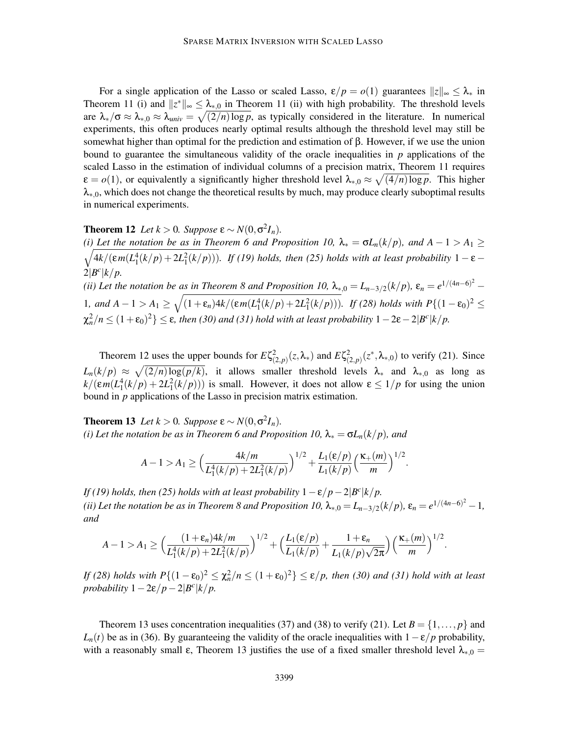For a single application of the Lasso or scaled Lasso,  $\varepsilon/p = o(1)$  guarantees  $||z||_{\infty} \leq \lambda_*$  in Theorem 11 (i) and  $||z^*||_{\infty} \leq \lambda_{*,0}$  in Theorem 11 (ii) with high probability. The threshold levels are  $\lambda_*/\sigma \approx \lambda_{*,0} \approx \lambda_{univ} = \sqrt{(2/n) \log p}$ , as typically considered in the literature. In numerical experiments, this often produces nearly optimal results although the threshold level may still be somewhat higher than optimal for the prediction and estimation of β. However, if we use the union bound to guarantee the simultaneous validity of the oracle inequalities in *p* applications of the scaled Lasso in the estimation of individual columns of a precision matrix, Theorem 11 requires  $\varepsilon = o(1)$ , or equivalently a significantly higher threshold level  $\lambda_{*,0} \approx \sqrt{(4/n) \log p}$ . This higher  $\lambda_{*,0}$ , which does not change the theoretical results by much, may produce clearly suboptimal results in numerical experiments.

# **Theorem 12** *Let*  $k > 0$ *. Suppose*  $\epsilon \sim N(0, \sigma^2 I_n)$ *.*

*(i)* Let the notation be as in Theorem 6 and Proposition 10,  $\lambda_* = \sigma L_n(k/p)$ , and  $A - 1 > A_1 \geq$  $\sqrt{4k/(\epsilon m(L_1^4(k/p)+2L_1^2(k/p)))}$ . If (19) holds, then (25) holds with at least probability 1 –  $\epsilon$  –  $2|B^c|k/p.$ *(ii) Let the notation be as in Theorem 8 and Proposition 10,*  $\lambda_{*,0} = L_{n-3/2}(k/p)$ ,  $\varepsilon_n = e^{1/(4n-6)^2} -$ 1*,* and  $A - 1 > A_1$  ≥  $\sqrt{(1+\varepsilon_n)4k/(\varepsilon_m(L_1^4(k/p) + 2L_1^2(k/p)))}$ *.* If (28) holds with P{(1-ε<sub>0</sub>)<sup>2</sup> ≤  $\chi_n^2/n \leq (1+\epsilon_0)^2$  }  $\leq$   $\epsilon$ *, then (30) and (31) hold with at least probability*  $1-2\epsilon-2|B^c|$ *k/p.* 

Theorem 12 uses the upper bounds for  $E\zeta^2_{(2,p)}(z,\lambda_*)$  and  $E\zeta^2_{(2,p)}(z^*,\lambda_{*,0})$  to verify (21). Since  $L_n(k/p) \approx \sqrt{(2/n) \log(p/k)}$ , it allows smaller threshold levels  $\lambda_*$  and  $\lambda_{*,0}$  as long as  $k/(\varepsilon m(L_1^4(k/p) + 2L_1^2(k/p)))$  is small. However, it does not allow  $\varepsilon \leq 1/p$  for using the union bound in *p* applications of the Lasso in precision matrix estimation.

**Theorem 13** *Let*  $k > 0$ *. Suppose*  $\epsilon \sim N(0, \sigma^2 I_n)$ *. (i) Let the notation be as in Theorem 6 and Proposition 10,*  $\lambda_* = \sigma L_n(k/p)$ *, and* 

$$
A-1 > A_1 \ge \Big(\frac{4k/m}{L_1^4(k/p) + 2L_1^2(k/p)}\Big)^{1/2} + \frac{L_1(\varepsilon/p)}{L_1(k/p)}\Big(\frac{\kappa_+(m)}{m}\Big)^{1/2}.
$$

*If (19) holds, then (25) holds with at least probability*  $1 - \varepsilon/p - 2|B^c|k/p$ . *(ii)* Let the notation be as in Theorem 8 and Proposition 10,  $\lambda_{*,0} = L_{n-3/2}(k/p)$ ,  $\varepsilon_n = e^{1/(4n-6)^2} - 1$ , *and*

$$
A-1 > A_1 \geq \Big(\frac{(1+\varepsilon_n)4k/m}{L_1^4(k/p)+2L_1^2(k/p)}\Big)^{1/2} + \Big(\frac{L_1(\varepsilon/p)}{L_1(k/p)} + \frac{1+\varepsilon_n}{L_1(k/p)\sqrt{2\pi}}\Big)\Big(\frac{\kappa_+(m)}{m}\Big)^{1/2}.
$$

*If* (28) holds with  $P\{(1-\varepsilon_0)^2 \leq \chi_n^2/n \leq (1+\varepsilon_0)^2\} \leq \varepsilon/p$ , then (30) and (31) hold with at least *probability*  $1-2\varepsilon/p-2|B^c|k/p$ .

Theorem 13 uses concentration inequalities (37) and (38) to verify (21). Let  $B = \{1, \ldots, p\}$  and  $L_n(t)$  be as in (36). By guaranteeing the validity of the oracle inequalities with  $1-\epsilon/p$  probability, with a reasonably small  $\varepsilon$ , Theorem 13 justifies the use of a fixed smaller threshold level  $\lambda_{*,0} =$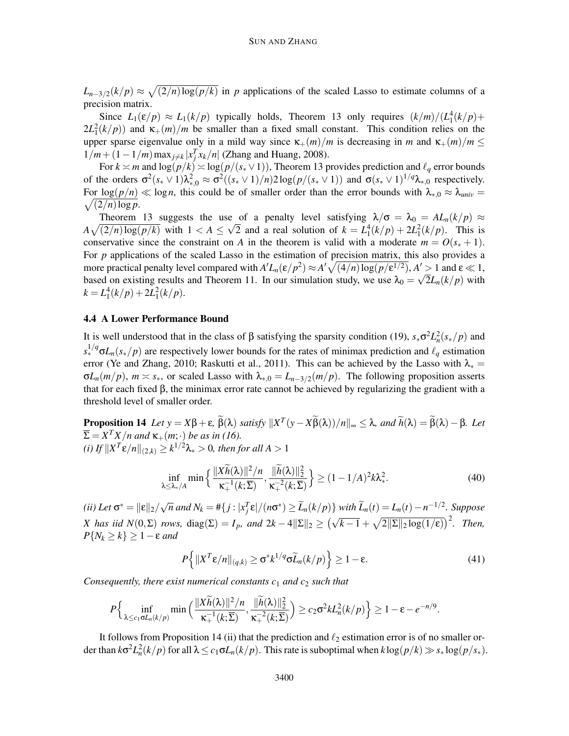$L_{n-3/2}(k/p) \approx \sqrt{(2/n) \log(p/k)}$  in *p* applications of the scaled Lasso to estimate columns of a precision matrix.

Since  $L_1(\varepsilon/p) \approx L_1(k/p)$  typically holds, Theorem 13 only requires  $(k/m)/(L_1^4(k/p) +$  $2L_1^2(k/p)$  and  $\kappa_+(m)/m$  be smaller than a fixed small constant. This condition relies on the upper sparse eigenvalue only in a mild way since  $\kappa_+(m)/m$  is decreasing in *m* and  $\kappa_+(m)/m \leq$  $1/m + (1 - 1/m) \max_{j \neq k} |x_j^T x_k/n|$  (Zhang and Huang, 2008).

For  $k \asymp m$  and  $\log(p/k) \asymp \log(p/(s_{*} \vee 1))$ , Theorem 13 provides prediction and  $\ell_{q}$  error bounds of the orders  $\sigma^2(s_* \vee 1)\lambda_{*,0}^2 \approx \sigma^2((s_* \vee 1)/n)2\log(p/(s_* \vee 1))$  and  $\sigma(s_* \vee 1)^{1/q}\lambda_{*,0}$  respectively.  $\sqrt{(2/n)\log p}$ . For  $\log(p/n) \ll \log n$ , this could be of smaller order than the error bounds with  $\lambda_{*,0} \approx \lambda_{univ}$ 

Theorem 13 suggests the use of a penalty level satisfying  $\lambda/\sigma = \lambda_0 = A L_n(k/p) \approx$  $A\sqrt{(2/n)\log(p/k)}$  with  $1 < A \leq \sqrt{2}$  and a real solution of  $k = L_1^4(k/p) + 2L_1^2(k/p)$ . This is conservative since the constraint on *A* in the theorem is valid with a moderate  $m = O(s_* + 1)$ . For *p* applications of the scaled Lasso in the estimation of precision matrix, this also provides a more practical penalty level compared with  $A'L_n(\varepsilon/p^2) \approx A'\sqrt{(4/n)\log(p/\varepsilon^{1/2})}$ ,  $A' > 1$  and  $\varepsilon \ll 1$ , based on existing results and Theorem 11. In our simulation study, we use  $\lambda_0 = \sqrt{2}L_n(k/p)$  with  $k = L_1^4(k/p) + 2L_1^2(k/p).$ 

#### 4.4 A Lower Performance Bound

It is well understood that in the class of β satisfying the sparsity condition (19),  $s_*\sigma^2 L_n^2(s_*/p)$  and  $s_*^{1/q}$  $\sigma L_n(s_*/p)$  are respectively lower bounds for the rates of minimax prediction and  $\ell_q$  estimation error (Ye and Zhang, 2010; Raskutti et al., 2011). This can be achieved by the Lasso with  $\lambda_* =$  $\sigma L_n(m/p)$ ,  $m \approx s_*$ , or scaled Lasso with  $\lambda_{*,0} = L_{n-3/2}(m/p)$ . The following proposition asserts that for each fixed β, the minimax error rate cannot be achieved by regularizing the gradient with a threshold level of smaller order.

**Proposition 14** *Let*  $y = X\beta + \varepsilon$ ,  $\beta(\lambda)$  *satisfy*  $||X^T(y - X\beta(\lambda))/n||_{\infty} \leq \lambda$ , and  $\widetilde{h}(\lambda) = \beta(\lambda) - \beta$ *. Let*  $\overline{\Sigma} = X^T X/n$  and  $\kappa_+(m;\cdot)$  *be as in (16). (i) If*  $\|X^T \varepsilon/n\|_{(2,k)} \geq k^{1/2}\lambda_* > 0$ , then for all  $A > 1$ 

$$
\inf_{\lambda \leq \lambda_*/A} \min \left\{ \frac{\|Xh(\lambda)\|^2/n}{\kappa_+^{-1}(k;\overline{\Sigma})}, \frac{\|\tilde{h}(\lambda)\|_2^2}{\kappa_+^{-2}(k;\overline{\Sigma})} \right\} \geq (1 - 1/A)^2 k \lambda_*^2. \tag{40}
$$

(ii) Let  $\sigma^* = ||\varepsilon||_2/\sqrt{n}$  and  $N_k = \#\{j : |x_j^T \varepsilon|/(n\sigma^*) \ge \widetilde{L}_n(k/p)\}\$  with  $\widetilde{L}_n(t) = L_n(t) - n^{-1/2}$ . Suppose *X* has iid  $N(0, \Sigma)$  *rows,* diag( $\Sigma$ ) = *I<sub>p</sub>*, and  $2k - 4||\Sigma||_2 \ge (\sqrt{k-1} + \sqrt{2||\Sigma||_2 \log(1/\epsilon)})^2$ . Then,  $P{N_k \ge k} \ge 1 - \varepsilon$  *and* 

$$
P\left\{\|X^T\mathbf{\varepsilon}/n\|_{(q,k)}\geq \sigma^*k^{1/q}\sigma\widetilde{L}_n(k/p)\right\}\geq 1-\varepsilon.
$$
\n(41)

*Consequently, there exist numerical constants c*<sup>1</sup> *and c*<sup>2</sup> *such that*

$$
P\Big\{\inf_{\lambda\leq c_1\sigma L_n(k/p)}\min\Big(\frac{\|X\widetilde{h}(\lambda)\|^2/n}{\kappa_+^{-1}(k;\overline{\Sigma})},\frac{\|\widetilde{h}(\lambda)\|_2^2}{\kappa_+^{-2}(k;\overline{\Sigma})}\Big)\geq c_2\sigma^2kL_n^2(k/p)\Big\}\geq 1-\epsilon-e^{-n/9}.
$$

It follows from Proposition 14 (ii) that the prediction and  $\ell_2$  estimation error is of no smaller order than  $k\sigma^2 L_n^2(k/p)$  for all  $\lambda \le c_1 \sigma L_n(k/p)$ . This rate is suboptimal when  $k \log(p/k) \gg s_* \log(p/s_*)$ .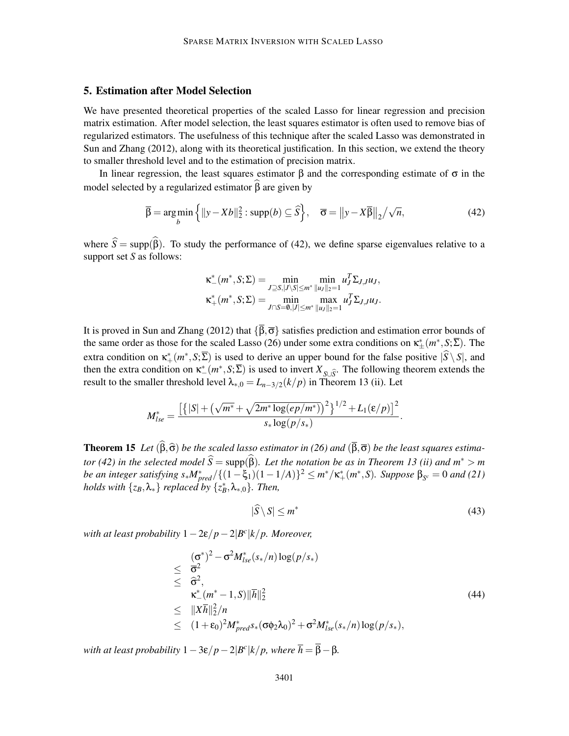# 5. Estimation after Model Selection

We have presented theoretical properties of the scaled Lasso for linear regression and precision matrix estimation. After model selection, the least squares estimator is often used to remove bias of regularized estimators. The usefulness of this technique after the scaled Lasso was demonstrated in Sun and Zhang (2012), along with its theoretical justification. In this section, we extend the theory to smaller threshold level and to the estimation of precision matrix.

In linear regression, the least squares estimator  $\beta$  and the corresponding estimate of σ in the model selected by a regularized estimator  $\hat{\beta}$  are given by

$$
\overline{\beta} = \underset{b}{\text{arg min}} \left\{ ||y - Xb||_2^2 : \text{supp}(b) \subseteq \widehat{S} \right\}, \quad \overline{\sigma} = ||y - X\overline{\beta}||_2 / \sqrt{n}, \tag{42}
$$

where  $S = \text{supp}(\beta)$ . To study the performance of (42), we define sparse eigenvalues relative to a support set *S* as follows:

$$
\kappa_{-}^{*}(m^{*}, S; \Sigma) = \min_{J \supseteq S, |J \setminus S| \le m^{*}} \min_{\|u_{J}\|_{2}=1} u_{J}^{T} \Sigma_{J, J} u_{J},
$$
  

$$
\kappa_{+}^{*}(m^{*}, S; \Sigma) = \min_{J \cap S = \emptyset, |J| \le m^{*}} \max_{\|u_{J}\|_{2}=1} u_{J}^{T} \Sigma_{J, J} u_{J}.
$$

It is proved in Sun and Zhang (2012) that  $\{\overline{\beta}, \overline{\sigma}\}$  satisfies prediction and estimation error bounds of the same order as those for the scaled Lasso (26) under some extra conditions on  $\kappa^*_{\pm}(m^*, \mathcal{S}; \Sigma)$ . The extra condition on  $\kappa^*_+(m^*, S; \Sigma)$  is used to derive an upper bound for the false positive  $|S \setminus S|$ , and then the extra condition on  $\kappa^*(m^*, S; \Sigma)$  is used to invert  $X_{S \cup \widehat{S}}$ . The following theorem extends the result to the smaller threshold level  $\lambda_{*,0} = L_{n-3/2}(k/p)$  in Theorem 13 (ii). Let

$$
M_{lse}^* = \frac{\left[ \left\{ |S| + \left( \sqrt{m^*} + \sqrt{2m^* \log(ep/m^*)} \right)^2 \right\}^{1/2} + L_1(\varepsilon/p) \right]^2}{s_* \log(p/s_*)}.
$$

**Theorem 15** *Let*  $(\beta, \widehat{\sigma})$  *be the scaled lasso estimator in* (26) *and*  $(\beta, \overline{\sigma})$  *be the least squares estimator* (42) in the selected model  $S = \text{supp}(\beta)$ . Let the notation be as in Theorem 13 (ii) and  $m^* > m$ *be an integer satisfying s*∗ $M_{pred}^* / {(1 - \xi_1)(1 - 1/A)}^2 ≤ m^* / \kappa^*_{+}(m^*, S)$ *. Suppose* β<sub>*S<sup>c</sup>* = 0 *and* (21)</sub> *holds with*  $\{z_B, \lambda_*\}$  *replaced by*  $\{z_B^*, \lambda_{*,0}\}$ *. Then,* 

$$
|\widehat{S} \setminus S| \le m^* \tag{43}
$$

*with at least probability* 1−2ε/*p*−2|*B c* |*k*/*p. Moreover,*

$$
\begin{array}{lcl}\n& (\sigma^*)^2 - \sigma^2 M_{lse}^*(s_*/n) \log(p/s_*) \\
&\leq& \overline{\sigma}^2 \\
&\leq& \widehat{\sigma}^2, \\
&\kappa_-^*(m^*-1,S) \|\overline{h}\|_2^2 \\
&\leq& \|\overline{X} \overline{h}\|_2^2/n \\
&\leq& (1+\epsilon_0)^2 M_{pred}^* s_*(\sigma \phi_2 \lambda_0)^2 + \sigma^2 M_{lse}^*(s_*/n) \log(p/s_*),\n\end{array}
$$
\n(44)

*with at least probability*  $1-3\varepsilon/p-2|B^c|k/p$ *, where*  $\overline{h} = \overline{\beta} - \beta$ *.*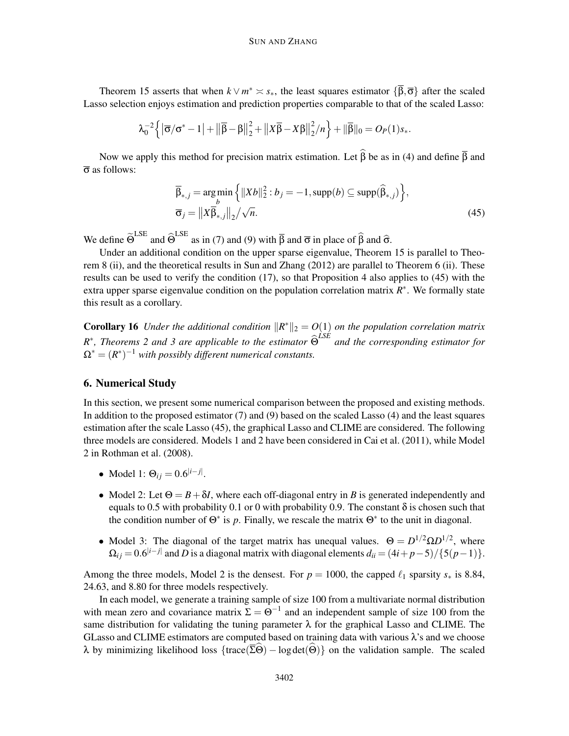Theorem 15 asserts that when  $k \vee m^* \leq s_*$ , the least squares estimator  $\{\beta, \overline{\sigma}\}\$  after the scaled Lasso selection enjoys estimation and prediction properties comparable to that of the scaled Lasso:

$$
\lambda_0^{-2}\left\{\left|\overline{\sigma}/\sigma^*-1\right|+\left\|\overline{\beta}-\beta\right\|_2^2+\left\|X\overline{\beta}-X\beta\right\|_2^2/n\right\}+\|\overline{\beta}\|_0=O_P(1)s_*.
$$

Now we apply this method for precision matrix estimation. Let  $\widehat{\beta}$  be as in (4) and define  $\overline{\beta}$  and  $\bar{\sigma}$  as follows:

$$
\overline{\beta}_{*,j} = \underset{b}{\arg\min} \left\{ ||Xb||_2^2 : b_j = -1, \text{supp}(b) \subseteq \text{supp}(\widehat{\beta}_{*,j}) \right\},\
$$
  

$$
\overline{\sigma}_j = ||X\overline{\beta}_{*,j}||_2 / \sqrt{n}.
$$
 (45)

We define  $\tilde{\Theta}^{LSE}$  and  $\hat{\Theta}^{LSE}$  as in (7) and (9) with  $\bar{\beta}$  and  $\bar{\sigma}$  in place of  $\hat{\beta}$  and  $\hat{\sigma}$ .

Under an additional condition on the upper sparse eigenvalue, Theorem 15 is parallel to Theorem 8 (ii), and the theoretical results in Sun and Zhang (2012) are parallel to Theorem 6 (ii). These results can be used to verify the condition (17), so that Proposition 4 also applies to (45) with the extra upper sparse eigenvalue condition on the population correlation matrix *R* ∗ . We formally state this result as a corollary.

**Corollary 16** Under the additional condition  $\|R^*\|_2 = O(1)$  on the population correlation matrix *R*<sup>\*</sup>, Theorems 2 and 3 are applicable to the estimator  $\widehat{\Theta}^{LSE}$  and the corresponding estimator for  $\Omega^* = (R^*)^{-1}$  *with possibly different numerical constants.* 

# 6. Numerical Study

In this section, we present some numerical comparison between the proposed and existing methods. In addition to the proposed estimator (7) and (9) based on the scaled Lasso (4) and the least squares estimation after the scale Lasso (45), the graphical Lasso and CLIME are considered. The following three models are considered. Models 1 and 2 have been considered in Cai et al. (2011), while Model 2 in Rothman et al. (2008).

- Model 1:  $\Theta_{ij} = 0.6^{|i-j|}$ .
- Model 2: Let  $\Theta = B + \delta I$ , where each off-diagonal entry in *B* is generated independently and equals to 0.5 with probability 0.1 or 0 with probability 0.9. The constant  $\delta$  is chosen such that the condition number of  $\Theta^*$  is p. Finally, we rescale the matrix  $\Theta^*$  to the unit in diagonal.
- Model 3: The diagonal of the target matrix has unequal values.  $\Theta = D^{1/2} \Omega D^{1/2}$ , where  $\Omega_{ij} = 0.6^{|i-j|}$  and *D* is a diagonal matrix with diagonal elements  $d_{ii} = (4i + p - 5)/\{5(p-1)\}.$

Among the three models, Model 2 is the densest. For  $p = 1000$ , the capped  $\ell_1$  sparsity  $s_*$  is 8.84, 24.63, and 8.80 for three models respectively.

In each model, we generate a training sample of size 100 from a multivariate normal distribution with mean zero and covariance matrix  $\Sigma = \Theta^{-1}$  and an independent sample of size 100 from the same distribution for validating the tuning parameter  $\lambda$  for the graphical Lasso and CLIME. The GLasso and CLIME estimators are computed based on training data with various  $\lambda$ 's and we choose λ by minimizing likelihood loss {trace( $\overline{\Sigma}$ Θ) – log det(Θ)} on the validation sample. The scaled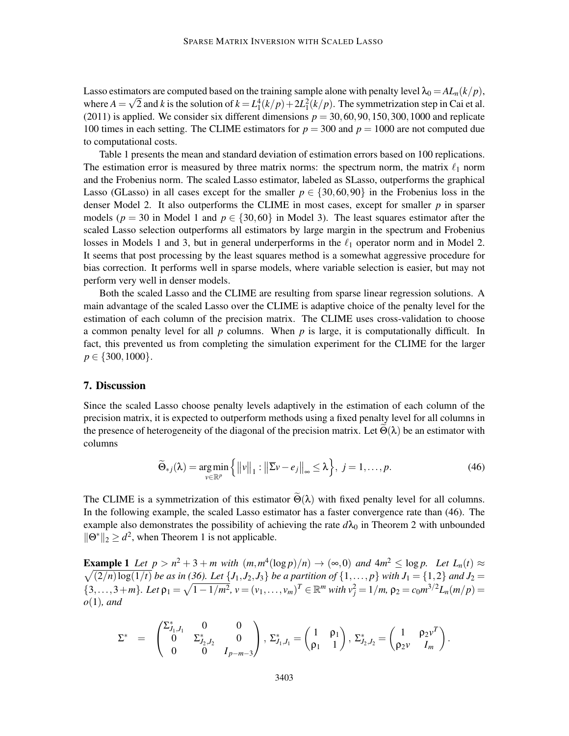Lasso estimators are computed based on the training sample alone with penalty level  $\lambda_0 = AL_n(k/p)$ , where  $A = \sqrt{2}$  and *k* is the solution of  $k = L_1^4(k/p) + 2L_1^2(k/p)$ . The symmetrization step in Cai et al. (2011) is applied. We consider six different dimensions  $p = 30,60,90,150,300,1000$  and replicate 100 times in each setting. The CLIME estimators for *p* = 300 and *p* = 1000 are not computed due to computational costs.

Table 1 presents the mean and standard deviation of estimation errors based on 100 replications. The estimation error is measured by three matrix norms: the spectrum norm, the matrix  $\ell_1$  norm and the Frobenius norm. The scaled Lasso estimator, labeled as SLasso, outperforms the graphical Lasso (GLasso) in all cases except for the smaller  $p \in \{30,60,90\}$  in the Frobenius loss in the denser Model 2. It also outperforms the CLIME in most cases, except for smaller *p* in sparser models ( $p = 30$  in Model 1 and  $p \in \{30, 60\}$  in Model 3). The least squares estimator after the scaled Lasso selection outperforms all estimators by large margin in the spectrum and Frobenius losses in Models 1 and 3, but in general underperforms in the  $\ell_1$  operator norm and in Model 2. It seems that post processing by the least squares method is a somewhat aggressive procedure for bias correction. It performs well in sparse models, where variable selection is easier, but may not perform very well in denser models.

Both the scaled Lasso and the CLIME are resulting from sparse linear regression solutions. A main advantage of the scaled Lasso over the CLIME is adaptive choice of the penalty level for the estimation of each column of the precision matrix. The CLIME uses cross-validation to choose a common penalty level for all *p* columns. When *p* is large, it is computationally difficult. In fact, this prevented us from completing the simulation experiment for the CLIME for the larger  $p \in \{300, 1000\}.$ 

#### 7. Discussion

Since the scaled Lasso choose penalty levels adaptively in the estimation of each column of the precision matrix, it is expected to outperform methods using a fixed penalty level for all columns in the presence of heterogeneity of the diagonal of the precision matrix. Let  $\Theta(\lambda)$  be an estimator with columns

$$
\widetilde{\Theta}_{*j}(\lambda) = \underset{\nu \in \mathbb{R}^p}{\arg \min} \left\{ ||\nu||_1 : ||\overline{\Sigma}\nu - e_j||_{\infty} \le \lambda \right\}, \ j = 1, \dots, p. \tag{46}
$$

The CLIME is a symmetrization of this estimator  $\widetilde{\Theta}(\lambda)$  with fixed penalty level for all columns. In the following example, the scaled Lasso estimator has a faster convergence rate than (46). The example also demonstrates the possibility of achieving the rate  $d\lambda_0$  in Theorem 2 with unbounded  $\|\Theta^*\|_2 \geq d^2$ , when Theorem 1 is not applicable.

**Example 1** Let  $p > n^2 + 3 + m$  with  $(m, m^4(\log p)/n) \rightarrow (\infty, 0)$  and  $4m^2 \le \log p$ . Let  $L_n(t) \approx$  $\sqrt{(2/n)\log(1/t)}$  *be as in (36). Let*  $\{J_1, J_2, J_3\}$  *be a partition of*  $\{1, \ldots, p\}$  *with*  $J_1 = \{1, 2\}$  *and*  $J_2 =$  $\{3,\ldots,3+m\}$ . Let  $\rho_1 = \sqrt{1-1/m^2}$ ,  $v = (v_1,\ldots,v_m)^T \in \mathbb{R}^m$  with  $v_j^2 = 1/m$ ,  $\rho_2 = c_0 m^{3/2} L_n(m/p) =$ *o*(1)*, and*

$$
\Sigma^* \hspace{2mm} = \hspace{2mm} \begin{pmatrix} \Sigma_{J_1,J_1}^* & 0 & 0 \\ 0 & \Sigma_{J_2,J_2}^* & 0 \\ 0 & 0 & I_{p-m-3} \end{pmatrix}, \ \Sigma_{J_1,J_1}^* = \begin{pmatrix} 1 & \rho_1 \\ \rho_1 & 1 \end{pmatrix}, \ \Sigma_{J_2,J_2}^* = \begin{pmatrix} 1 & \rho_2 v^T \\ \rho_2 v & I_m \end{pmatrix}.
$$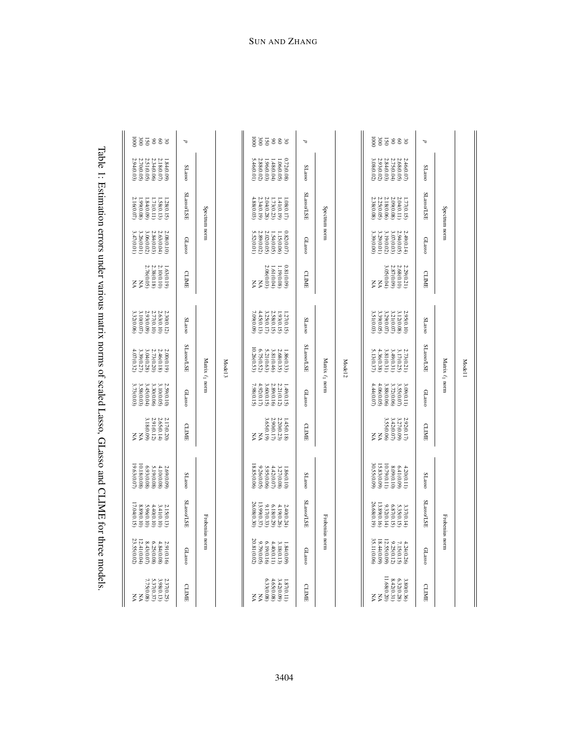| j                                                                                                                                                                                                                                                                                                                                                   |
|-----------------------------------------------------------------------------------------------------------------------------------------------------------------------------------------------------------------------------------------------------------------------------------------------------------------------------------------------------|
|                                                                                                                                                                                                                                                                                                                                                     |
| ;                                                                                                                                                                                                                                                                                                                                                   |
| $\frac{1}{2}$                                                                                                                                                                                                                                                                                                                                       |
| $\frac{1}{2}$                                                                                                                                                                                                                                                                                                                                       |
|                                                                                                                                                                                                                                                                                                                                                     |
|                                                                                                                                                                                                                                                                                                                                                     |
|                                                                                                                                                                                                                                                                                                                                                     |
|                                                                                                                                                                                                                                                                                                                                                     |
|                                                                                                                                                                                                                                                                                                                                                     |
|                                                                                                                                                                                                                                                                                                                                                     |
|                                                                                                                                                                                                                                                                                                                                                     |
|                                                                                                                                                                                                                                                                                                                                                     |
|                                                                                                                                                                                                                                                                                                                                                     |
|                                                                                                                                                                                                                                                                                                                                                     |
|                                                                                                                                                                                                                                                                                                                                                     |
|                                                                                                                                                                                                                                                                                                                                                     |
|                                                                                                                                                                                                                                                                                                                                                     |
|                                                                                                                                                                                                                                                                                                                                                     |
|                                                                                                                                                                                                                                                                                                                                                     |
|                                                                                                                                                                                                                                                                                                                                                     |
|                                                                                                                                                                                                                                                                                                                                                     |
|                                                                                                                                                                                                                                                                                                                                                     |
| j                                                                                                                                                                                                                                                                                                                                                   |
|                                                                                                                                                                                                                                                                                                                                                     |
|                                                                                                                                                                                                                                                                                                                                                     |
| $\alpha$ of $\alpha$ and $\alpha$ and $\alpha$ and $\alpha$ and $\alpha$ and $\alpha$ and $\alpha$ and $\alpha$ and $\alpha$ and $\alpha$ and $\alpha$ and $\alpha$ and $\alpha$ and $\alpha$ and $\alpha$ and $\alpha$ and $\alpha$ and $\alpha$ and $\alpha$ and $\alpha$ and $\alpha$ and $\alpha$ and $\alpha$ and $\alpha$ a<br>$\overline{a}$ |

| 85888<br>$\overline{0001}$                                                                | Д                                         |         | 0001<br>sassa                                                                      | þ                                         |         | $\overline{0001}$<br>sasss                                                                          | P                                  |         |
|-------------------------------------------------------------------------------------------|-------------------------------------------|---------|------------------------------------------------------------------------------------|-------------------------------------------|---------|-----------------------------------------------------------------------------------------------------|------------------------------------|---------|
| 2.51(0.05)<br>2.94(0.03)<br>2.70(0.05)<br>2.34(0.06)<br>2.18(0.07)<br>1.84(0.09)          | <b>SLasso</b>                             |         | 5.46(0.01)<br>2.88(0.02)<br>0.72(0.08<br>1.06(0.05)<br>.960.03)<br>.48(0.04)       | <b>SLasso</b>                             |         | 2.93(0.02)<br>2.84(0.03)<br>2.75(0.04)<br>2.46(0.07)<br>2.68(0.05)<br>3.08(0.02)                    | <b>SLasso</b>                      |         |
| 2.16(0.07)<br>1.84(0.09)<br>1.99(0.08)<br>1.71(0.11)<br>1.28(0.15)<br>1.58(0.13)          | SLasso/LSE<br>Spectrum norm               |         | 4.88(0.03)<br>2.04(0.28)<br>2.34(0.19)<br>1.73(0.23)<br>1.41(0.19)<br>1.080.17     | <b>SLasso/LSE</b><br>Spectrum norn        |         | 2.38(0.08)<br>2.18(0.06)<br>2.25(0.05)<br>2.09(0.08)<br>1.77(0.15)<br>2.04(0.11)                    | SLasso/LSE<br>Spectrum norm        |         |
| 2.84(0.03)<br>3.47(0.01)<br>3.26(0.01)<br>3.06(0.02)<br>2.63(0.04)<br>2.08(0.10)          | <b>GLassc</b>                             |         | 5.52(0.01)<br>2.89(0.02)<br>2.02(0.05)<br>0.82(0.07)<br>1.54(0.05)<br>1.15(0.06)   | GLasso                                    |         | 3.39(0.00)<br>3.2900.01)<br>3.19(0.02)<br>3.07(0.03)<br>2.94(0.05)<br>2.49(0.14                     | GLasso                             |         |
| 2.76(0.05)<br>2.38(0.18)<br>2.10(0.10)<br>1.63(0.19)<br>ξŠ                                | <b>CLIME</b>                              |         | 2.06(0.03)<br>0.81(0.09<br>1.61(0.04)<br>1.19(0.08)<br>ξŠ                          | <b>CLIME</b>                              |         | $\begin{array}{ll} \tt W \\ \tt W0000303 \end{array}$<br>2.68(0.10)<br>2.87(0.09)<br>2.29(0.21<br>ξ | <b>CLIME</b>                       |         |
| $3.10(0.07)$<br>3.32(0.06)<br>2.93(0.09)<br>2.77(0.10)<br>2.63(0.10)<br>2.30(0.12)        | <b>SLasso</b>                             |         | 3.25(0.17)<br>2.58(0.15)<br>7.09(0.09)<br>4.45(0.13)<br>1.93(0.15)<br>1.27(0.15)   | SLasso                                    |         | 3.29(0.07)<br>3.21(0.07)<br>3.51(0.03)<br>3.39(0.05)<br>2.95(0.10)<br>3.12(0.08)                    | <b>SLasso</b>                      |         |
| 3.39(0.27)<br>3.04(0.28)<br>2.73(0.20)<br>2.46(0.18)<br>2.00(0.19)<br>4.07(0.32)          | <b>SLasso/LSE</b><br>Matrix $\ell_1$ norm | Model 3 | 10.26(0.53)<br>6.75(0.52)<br>5.21(0.63)<br>3.81(0.46)<br>2.68(0.35)<br>1.86(0.33)  | <b>SLasso/LSE</b><br>Matrix $\ell_1$ norm | Model 2 | 5.13(0.37)<br>4.36(0.38)<br>3.81(0.31)<br>3.49(0.31)<br>2.73(0.21)<br>3.17(0.25)                    | SLasso/LSE<br>Matrix $\ell_1$ norn | Model 1 |
| 3.58(0.03)<br>3.45(0.04)<br>3.30(0.06)<br>3.10(0.05)<br>3.73(0.03)<br>2.59(0.10)          | GLasso                                    |         | 4.92(0.17)<br>2.89(0.16)<br>7.98(0.15)<br>3.60(0.15)<br>2.21(0.12)<br>1.49(0.15)   | GLassc                                    |         | 4.06(0.05)<br>4.44(0.07)<br>3.88(0.06)<br>3.72(0.06)<br>3.55(0.07)<br>3.09(0.11)                    | GLassc                             |         |
| 3.18(0.09)<br>2.91(0.12)<br>2.65(0.14)<br>2.17(0.20)<br>ξŠ                                | <b>CLIME</b>                              |         | 2.90(0.17)<br>3.65(0.19)<br>2.20(0.23)<br>1.45(0.18)<br>ξŠ                         | CLIME                                     |         | <b>VN</b><br>(90'0)SS'E<br>3.42(0.07)<br>3.27(0.09)<br>2.92(0.17)<br>X                              | CLIME                              |         |
| 19.63(0.07)<br>10.18(0.08)<br>6.93(0.08)<br>5.19(0.08)<br>4.10(0.08)<br>2.69(0.09)        | <b>SLasso</b>                             |         | 18.85(0.06)<br>9.26(0.05)<br>5.95(0.06)<br>4.42(0.07)<br>3.27(0.08)<br>1.860.10)   | <b>SLasso</b>                             |         | 30.55(0.09)<br>15.83(0.09)<br>10.79(0.11)<br>8.09(0.10)<br>6.41(0.09)<br>4.20(0.11)                 | <b>SLasso</b>                      |         |
| 17.04(0.15)<br>8.89(0.10)<br>5.96(0.10)<br>4.40(0.10)<br>3.41(0.10)<br>2.15(0.13)         | SLasso/LSE                                |         | 26.08(0.30)<br>13.99(0.37)<br>9.17(0.33)<br>6.18(0.29)<br>4.19(0.26)<br>2.40(0.24) | SLasso/LSE                                |         | 26.68(0.19)<br>13.89(0.16)<br>9.32(0.14)<br>6.87(0.15)<br>5.35(0.15)<br>3.37(0.14)                  | SLasso/LSE<br>Frobenius norm       |         |
| 23.55(0.02)<br>12.41(0.04)<br>$\frac{6.25(0.08)}{8.43(0.07)}$<br>4.84(0.08)<br>2.91(0.16) | Frobenius norm<br>GLasso                  |         | 20.81(0.02)<br>6.19(0.16)<br>9.79(0.05)<br>4.40(0.11)<br>3.18(0.13)<br>1.84(0.09)  | <b>Frobenius</b> norn<br>GLasso           |         | 35.11(0.06)<br>18.44(0.09)<br>12.55(0.09)<br>9.25(0.12)<br>4.24(0.26)<br>7.15(0.15)                 | GLasso                             |         |
| 7.75(0.08)<br>NA<br>NA<br>5.37(0.37)<br>3.98(0.13)<br>2.37(0.25)                          | CLIME                                     |         | 6.33(0.08)<br>4.65(0.08)<br>3.42(0.09)<br>1.87(0.11)<br>ξŠ                         | CLIME                                     |         | $11.68(0.20)$ NA<br>8.42(0.31)<br>3.80(0.36)<br>6.32(0.28)<br>Š                                     | CLIME                              |         |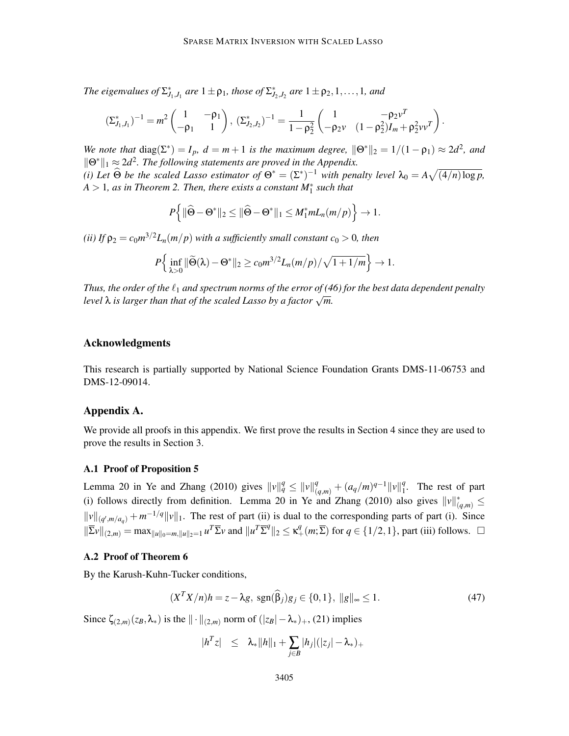*The eigenvalues of*  $\Sigma^*_{J_1,J_1}$  *are*  $1 \pm \rho_1$ *, those of*  $\Sigma^*_{J_2,J_2}$  *are*  $1 \pm \rho_2,1,\ldots,1$ *, and* 

$$
(\Sigma_{J_1,J_1}^*)^{-1} = m^2 \begin{pmatrix} 1 & -\rho_1 \\ -\rho_1 & 1 \end{pmatrix}, \ (\Sigma_{J_2,J_2}^*)^{-1} = \frac{1}{1-\rho_2^2} \begin{pmatrix} 1 & -\rho_2 v^T \\ -\rho_2 v & (1-\rho_2^2)I_m + \rho_2^2 v v^T \end{pmatrix}.
$$

*We note that*  $diag(\Sigma^*) = I_p$ ,  $d = m + 1$  *is the maximum degree*,  $\|\Theta^*\|_2 = 1/(1 - \rho_1) \approx 2d^2$ , and  $\|\Theta^*\|_1 \approx 2d^2$ . The following statements are proved in the Appendix. (*i*) Let  $\widehat{\Theta}$  be the scaled Lasso estimator of  $\Theta^* = (\Sigma^*)^{-1}$  with penalty level  $\lambda_0 = A\sqrt{(4/n)\log p}$ ,

*A* > 1*, as in Theorem 2. Then, there exists a constant M*∗ 1 *such that*

$$
P\Big\{\|\widehat{\Theta}-\Theta^*\|_2\leq \|\widehat{\Theta}-\Theta^*\|_1\leq M_1^*mL_n(m/p)\Big\}\to 1.
$$

*(ii)* If  $\rho_2 = c_0 m^{3/2} L_n(m/p)$  with a sufficiently small constant  $c_0 > 0$ , then

$$
P\Big\{\inf_{\lambda>0} \|\widetilde{\Theta}(\lambda)-\Theta^*\|_2\geq c_0m^{3/2}L_n(m/p)/\sqrt{1+1/m}\Big\}\to 1.
$$

*Thus, the order of the*  $\ell_1$  *and spectrum norms of the error of (46) for the best data dependent penalty level* λ *is larger than that of the scaled Lasso by a factor* √ *m.*

# Acknowledgments

This research is partially supported by National Science Foundation Grants DMS-11-06753 and DMS-12-09014.

# Appendix A.

We provide all proofs in this appendix. We first prove the results in Section 4 since they are used to prove the results in Section 3.

#### A.1 Proof of Proposition 5

Lemma 20 in Ye and Zhang (2010) gives  $||v||_q^q \le ||v||_{(q,m)}^q + (a_q/m)^{q-1}||v||_1^q$  $\frac{q}{1}$ . The rest of part (i) follows directly from definition. Lemma 20 in Ye and Zhang (2010) also gives  $||v||^*_{(q,m)} \le$  $\|v\|_{(q',m/a_q)} + m^{-1/q} \|v\|_1$ . The rest of part (ii) is dual to the corresponding parts of part (i). Since  $\|\overline{\Sigma}v\|_{(2,m)} = \max_{\|u\|_0 = m, \|u\|_2=1} u^T \overline{\Sigma} v$  and  $\|u^T \overline{\Sigma}^q\|_2 \le \kappa_+^q(m; \overline{\Sigma})$  for  $q \in \{1/2, 1\}$ , part (iii) follows.  $\square$ 

# A.2 Proof of Theorem 6

By the Karush-Kuhn-Tucker conditions,

$$
(X^T X/n)h = z - \lambda g, \ \text{sgn}(\widehat{\beta}_j)g_j \in \{0, 1\}, \ \|g\|_{\infty} \le 1. \tag{47}
$$

Since  $\zeta_{(2,m)}(z_B,\lambda_*)$  is the  $\|\cdot\|_{(2,m)}$  norm of  $(|z_B| - \lambda_*)_+$ , (21) implies

$$
|h^T z| \leq \lambda_* \|h\|_1 + \sum_{j \in B} |h_j|(|z_j| - \lambda_*)_+
$$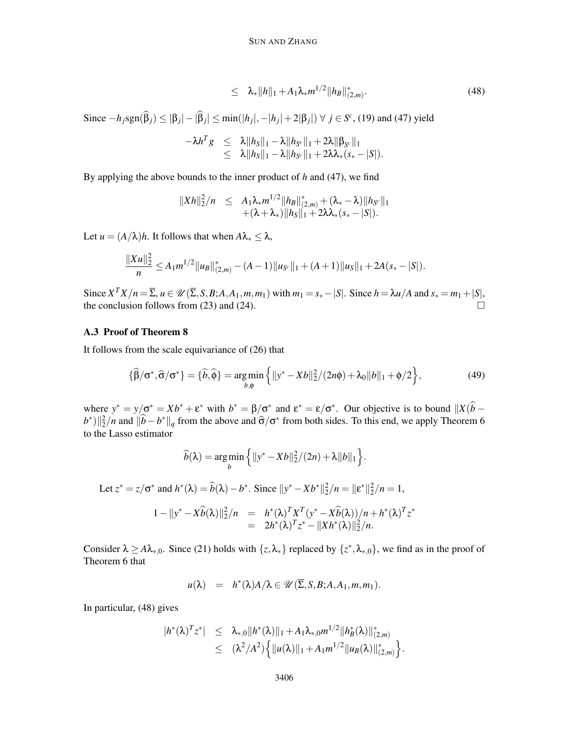$$
\leq \quad \lambda_* \|h\|_1 + A_1 \lambda_* m^{1/2} \|h_B\|_{(2,m)}^*.
$$
\n(48)

Since  $-h_j$ sgn( $\hat{\beta}_j$ ) ≤ |β<sub>*j*</sub>| − | $\hat{\beta}_j$ | ≤ min(|*h<sub>j</sub>*|,−|*h<sub>j</sub>*|+2|β*j*|) ∀ *j* ∈ *S<sup>c</sup>*, (19) and (47) yield

$$
-\lambda h^T g \leq \lambda \|h_S\|_1 - \lambda \|h_{S^c}\|_1 + 2\lambda \|\beta_{S^c}\|_1 \leq \lambda \|h_S\|_1 - \lambda \|h_{S^c}\|_1 + 2\lambda \lambda_*(s_* - |S|).
$$

By applying the above bounds to the inner product of *h* and (47), we find

$$
||Xh||_2^2/n \leq A_1 \lambda_* m^{1/2} ||h_B||_{(2,m)}^* + (\lambda_* - \lambda) ||h_{S^c}||_1 + (\lambda + \lambda_*) ||h_S||_1 + 2\lambda \lambda_* (s_* - |S|).
$$

Let *u* =  $(A/\lambda)h$ . It follows that when  $A\lambda_* \leq \lambda$ ,

$$
\frac{\|Xu\|_2^2}{n} \leq A_1 m^{1/2} \|u_B\|_{(2,m)}^* - (A-1)\|u_{S^c}\|_1 + (A+1)\|u_S\|_1 + 2A(s_*-|S|).
$$

Since  $X^TX/n = \overline{\Sigma}$ ,  $u \in \mathcal{U}(\overline{\Sigma}, S, B; A, A_1, m, m_1)$  with  $m_1 = s_* - |S|$ . Since  $h = \lambda u/A$  and  $s_* = m_1 + |S|$ , the conclusion follows from (23) and (24).  $\Box$ 

# A.3 Proof of Theorem 8

It follows from the scale equivariance of (26) that

$$
\{\widehat{\beta}/\sigma^*, \widehat{\sigma}/\sigma^*\} = \{\widehat{b}, \widehat{\phi}\} = \underset{b, \phi}{\arg\min} \left\{ ||y^* - Xb||_2^2 / (2n\phi) + \lambda_0 ||b||_1 + \phi/2 \right\},\tag{49}
$$

where  $y^* = y/\sigma^* = Xb^* + \varepsilon^*$  with  $b^* = \beta/\sigma^*$  and  $\varepsilon^* = \varepsilon/\sigma^*$ . Our objective is to bound  $||X(b - \sigma^*)||$  $(b^*)$   $\frac{1}{2}$ /*n* and  $\frac{1}{b} - b^*$   $\frac{1}{q}$  from the above and  $\hat{\sigma}/\sigma^*$  from both sides. To this end, we apply Theorem 6 to the Lasso estimator

$$
\widehat{b}(\lambda) = \underset{b}{\arg\min} \left\{ ||y^* - Xb||_2^2 / (2n) + \lambda ||b||_1 \right\}.
$$

Let 
$$
z^* = z/\sigma^*
$$
 and  $h^*(\lambda) = \widehat{b}(\lambda) - b^*$ . Since  $||y^* - Xb^*||_2^2/n = ||\varepsilon^*||_2^2/n = 1$ ,  
\n
$$
1 - ||y^* - X\widehat{b}(\lambda)||_2^2/n = h^*(\lambda)^T X^T (y^* - X\widehat{b}(\lambda))/n + h^*(\lambda)^T z^*
$$

$$
= 2h^*(\lambda)^T z^* - \|Xh^*(\lambda)\|_2^2/n.
$$
  
Consider  $\lambda > A\lambda_*$  o. Since (21) holds with  $\{z, \lambda_*\}$  replaced by  $\{z^*, \lambda_*\}$ , we find as in the pr

Consider  $\lambda \geq A\lambda_{*,0}$ . Since (21) holds with  $\{z, \lambda_*\}$  replaced by  $\{z^*\}$ proof of Theorem 6 that

$$
u(\lambda) = h^*(\lambda)A/\lambda \in \mathscr{U}(\overline{\Sigma}, S, B; A, A_1, m, m_1).
$$

In particular, (48) gives

$$
|h^*(\lambda)^T z^*| \leq \lambda_{*,0} ||h^*(\lambda)||_1 + A_1 \lambda_{*,0} m^{1/2} ||h_B^*(\lambda)||_{(2,m)}^* \leq (\lambda^2/A^2) \Big\{ ||u(\lambda)||_1 + A_1 m^{1/2} ||u_B(\lambda)||_{(2,m)}^* \Big\}.
$$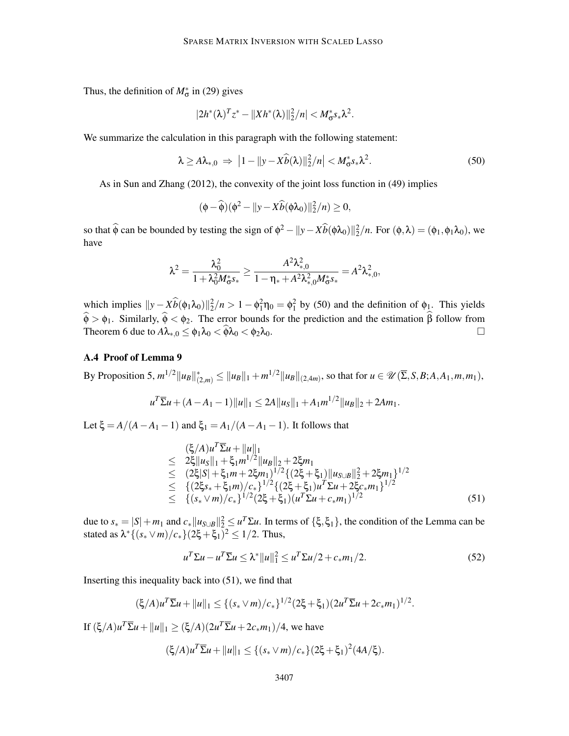Thus, the definition of  $M^*_{\sigma}$  in (29) gives

$$
|2h^*(\lambda)^T z^* - ||Xh^*(\lambda)||_2^2/n| < M^*_{\sigma} s_* \lambda^2.
$$

We summarize the calculation in this paragraph with the following statement:

$$
\lambda \ge A\lambda_{*,0} \Rightarrow |1 - ||y - X\widehat{b}(\lambda)||_2^2/n| < M_{\sigma}^* s_* \lambda^2. \tag{50}
$$

As in Sun and Zhang (2012), the convexity of the joint loss function in (49) implies

$$
(\phi - \widehat{\phi})(\phi^2 - ||y - X\widehat{b}(\phi\lambda_0)||_2^2/n) \ge 0,
$$

so that  $\hat{\phi}$  can be bounded by testing the sign of  $\phi^2 - ||y - X\hat{b}(\phi\lambda_0)||_2^2/n$ . For  $(\phi, \lambda) = (\phi_1, \phi_1\lambda_0)$ , we have

$$
\lambda^2 = \frac{\lambda_0^2}{1 + \lambda_0^2 M_{\sigma}^* s_*} \ge \frac{A^2 \lambda_{*,0}^2}{1 - \eta_* + A^2 \lambda_{*,0}^2 M_{\sigma}^* s_*} = A^2 \lambda_{*,0}^2,
$$

which implies  $||y - \hat{\chi}(\phi_1 \lambda_0)||_2^2/n > 1 - \phi_1^2 \eta_0 = \phi_1^2$  by (50) and the definition of  $\phi_1$ . This yields  $\phi > \phi_1$ . Similarly,  $\phi < \phi_2$ . The error bounds for the prediction and the estimation  $\beta$  follow from Theorem 6 due to  $A\lambda_{*,0} \leq \phi_1\lambda_0 < \widehat{\phi}\lambda_0 < \phi_2\lambda_0$ .

# A.4 Proof of Lemma 9

 $\|B$ y Proposition 5,  $m^{1/2} \|u_B\|_{(2,m)}^* \le \|u_B\|_1 + m^{1/2} \|u_B\|_{(2,4m)}$ , so that for  $u \in \mathscr{U}(\overline{\Sigma}, S, B; A, A_1, m, m_1)$ ,

$$
u^T \overline{\Sigma} u + (A - A_1 - 1) \|u\|_1 \le 2A \|u_S\|_1 + A_1 m^{1/2} \|u_B\|_2 + 2Am_1.
$$

Let  $\xi = A/(A - A_1 - 1)$  and  $\xi_1 = A_1/(A - A_1 - 1)$ . It follows that

$$
\begin{array}{lcl}\n(\xi/A)u^T \overline{\Sigma} u + \|u\|_1 \\
\leq & 2\xi \|u_S\|_1 + \xi_1 m^{1/2} \|u_B\|_2 + 2\xi m_1 \\
\leq & (2\xi |S| + \xi_1 m + 2\xi m_1)^{1/2} \{ (2\xi + \xi_1) \|u_{S \cup B}\|_2^2 + 2\xi m_1 \}^{1/2} \\
\leq & \{ (2\xi s_* + \xi_1 m) / c_* \}^{1/2} \{ (2\xi + \xi_1) u^T \Sigma u + 2\xi c_* m_1 \}^{1/2} \\
\leq & \{ (s_* \vee m) / c_* \}^{1/2} (2\xi + \xi_1) (u^T \Sigma u + c_* m_1)^{1/2}\n\end{array} \tag{51}
$$

due to  $s_* = |S| + m_1$  and  $c_* ||u_{S \cup B}||_2^2 \leq u^T \Sigma u$ . In terms of  $\{\xi, \xi_1\}$ , the condition of the Lemma can be stated as  $\lambda^* \{ (s_* \vee m) / c_* \} (2\xi + \xi_1)^2 \leq 1/2$ . Thus,

$$
u^T \Sigma u - u^T \overline{\Sigma} u \le \lambda^* ||u||_1^2 \le u^T \Sigma u / 2 + c_* m_1 / 2. \tag{52}
$$

Inserting this inequality back into  $(51)$ , we find that

$$
(\xi/A)u^T\overline{\Sigma}u + ||u||_1 \leq \{ (s_* \vee m)/c_* \}^{1/2} (2\xi + \xi_1) (2u^T\overline{\Sigma}u + 2c_*m_1)^{1/2}.
$$

If  $(\xi/A)u^T\overline{\Sigma}u + ||u||_1 \ge (\xi/A)(2u^T\overline{\Sigma}u + 2c_*m_1)/4$ , we have

$$
(\xi/A)u^T\overline{\Sigma}u + \|u\|_1 \leq \{(s_* \vee m)/c_*\}(2\xi + \xi_1)^2(4A/\xi).
$$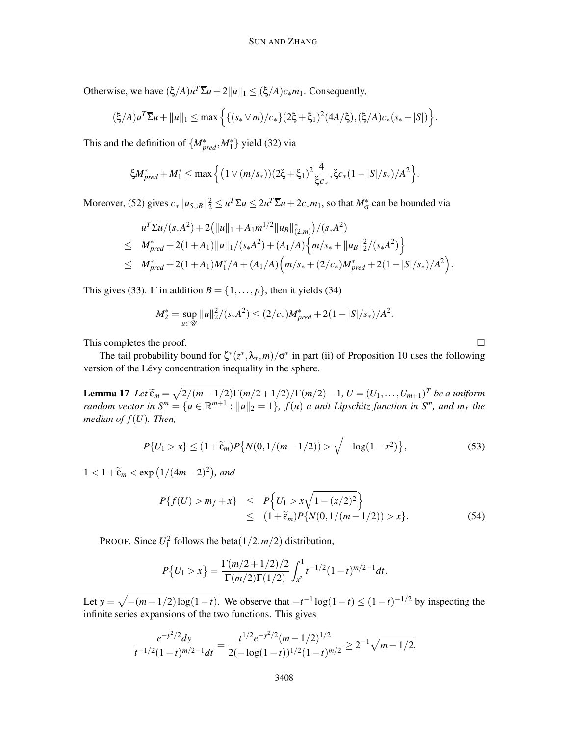Otherwise, we have  $(\xi/A)u^T\overline{\Sigma}u + 2||u||_1 \leq (\xi/A)c_*m_1$ . Consequently,

$$
(\xi/A)u^T\overline{\Sigma}u + \|u\|_1 \leq \max\left\{\{(s_* \vee m)/c_*\}(2\xi + \xi_1)^2(4A/\xi), (\xi/A)c_*(s_* - |S|)\right\}.
$$

This and the definition of  $\{M^*_{pred}, M^*_1\}$  yield (32) via

$$
\xi M_{pred}^* + M_1^* \le \max \left\{ (1 \vee (m/s_*) (2\xi + \xi_1)^2 \frac{4}{\xi c_*}, \xi c_*(1-|S|/s_*)/A^2 \right\}.
$$

Moreover, (52) gives  $c_*||u_{S\cup B}||_2^2 \leq u^T \Sigma u \leq 2u^T \Sigma u + 2c_* m_1$ , so that  $M^*_{\sigma}$  can be bounded via

$$
u^T \overline{\Sigma} u/(s_* A^2) + 2(||u||_1 + A_1 m^{1/2} ||u_B||_{(2,m)}^*)/(s_* A^2)
$$
  
\n
$$
\leq M_{pred}^* + 2(1 + A_1) ||u||_1/(s_* A^2) + (A_1/A) \Big\{ m/s_* + ||u_B||_2^2/(s_* A^2) \Big\}
$$
  
\n
$$
\leq M_{pred}^* + 2(1 + A_1) M_1^* / A + (A_1/A) \Big( m/s_* + (2/c_*) M_{pred}^* + 2(1 - |S|/s_*) / A^2 \Big).
$$

This gives (33). If in addition  $B = \{1, \ldots, p\}$ , then it yields (34)

$$
M_2^* = \sup_{u \in \mathcal{U}} ||u||_2^2 / (s_* A^2) \le (2/c_*) M_{pred}^* + 2(1 - |S|/s_*) / A^2.
$$

This completes the proof.  $\Box$ 

The tail probability bound for  $\zeta^*(z^*, \lambda_*, m) / \sigma^*$  in part (ii) of Proposition 10 uses the following version of the Lévy concentration inequality in the sphere.

**Lemma 17** *Let*  $\widetilde{\epsilon}_m = \sqrt{\frac{2}{(m-1/2)}}\Gamma(m/2+1/2)/\Gamma(m/2)-1$ ,  $U = (U_1, \ldots, U_{m+1})^T$  be a uniform *random vector in*  $S^m = \{u \in \mathbb{R}^{m+1} : ||u||_2 = 1\}$ ,  $f(u)$  *a unit Lipschitz function in*  $S^m$ *, and*  $m_f$  *the median of f*(*U*)*. Then,*

$$
P\{U_1 > x\} \le (1 + \widetilde{\varepsilon}_m) P\{N(0, 1/(m - 1/2)) > \sqrt{-\log(1 - x^2)}\},\tag{53}
$$

 $1 < 1 + \widetilde{\varepsilon}_m < \exp\left(1/(4m-2)^2\right)$ , and

$$
P\{f(U) > m_f + x\} \le P\Big\{U_1 > x\sqrt{1 - (x/2)^2}\Big\} \le (1 + \widetilde{\epsilon}_m)P\{N(0, 1/(m - 1/2)) > x\}.
$$
 (54)

PROOF. Since  $U_1^2$  follows the beta $(1/2, m/2)$  distribution,

$$
P\{U_1 > x\} = \frac{\Gamma(m/2 + 1/2)/2}{\Gamma(m/2)\Gamma(1/2)} \int_{x^2}^1 t^{-1/2} (1-t)^{m/2-1} dt.
$$

Let  $y = \sqrt{- (m - 1/2) \log(1 - t)}$ . We observe that  $-t^{-1} \log(1 - t) \le (1 - t)^{-1/2}$  by inspecting the infinite series expansions of the two functions. This gives

$$
\frac{e^{-y^2/2}dy}{t^{-1/2}(1-t)^{m/2-1}dt}=\frac{t^{1/2}e^{-y^2/2}(m-1/2)^{1/2}}{2(-\log(1-t))^{1/2}(1-t)^{m/2}}\geq 2^{-1}\sqrt{m-1/2}.
$$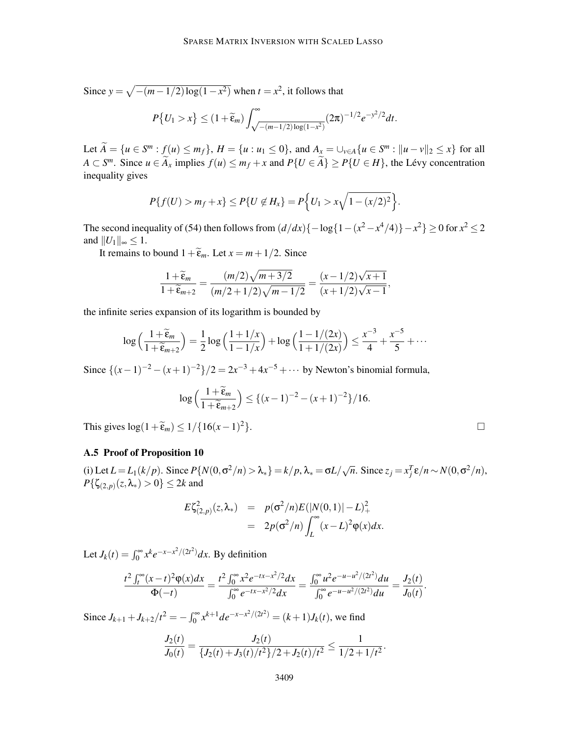Since  $y = \sqrt{- (m - 1/2) \log(1 - x^2)}$  when  $t = x^2$ , it follows that  $P\{U_1 > x\} \leq (1+\widetilde{\varepsilon}_m)$  $\int^{\infty}$  $\int_{\sqrt{-(m-1/2)\log(1-x^2)}}^{\infty} (2\pi)^{-1/2} e^{-y^2/2} dt$ .

Let  $\widetilde{A} = \{u \in S^m : f(u) \le m_f\}$ ,  $H = \{u : u_1 \le 0\}$ , and  $A_x = \bigcup_{v \in A} \{u \in S^m : ||u - v||_2 \le x\}$  for all *A* ⊂ *S*<sup>*m*</sup>. Since *u* ∈  $\widetilde{A}_x$  implies  $f(u) \le m_f + x$  and  $P\{U \in \widetilde{A}\} \ge P\{U \in H\}$ , the Lévy concentration inequality gives

$$
P\{f(U) > m_f + x\} \le P\{U \notin H_x\} = P\Big\{U_1 > x\sqrt{1 - (x/2)^2}\Big\}.
$$

The second inequality of (54) then follows from  $(d/dx){-log{1-(x^2-x^4/4)}}-x^2\ge 0$  for  $x^2 \le 2$ and  $||U_1||_{\infty} \leq 1$ .

It remains to bound  $1+\tilde{\epsilon}_m$ . Let  $x = m + 1/2$ . Since

$$
\frac{1+\widetilde{\varepsilon}_m}{1+\widetilde{\varepsilon}_{m+2}}=\frac{(m/2)\sqrt{m+3/2}}{(m/2+1/2)\sqrt{m-1/2}}=\frac{(x-1/2)\sqrt{x+1}}{(x+1/2)\sqrt{x-1}},
$$

the infinite series expansion of its logarithm is bounded by

$$
\log\left(\frac{1+\widetilde{\epsilon}_m}{1+\widetilde{\epsilon}_{m+2}}\right)=\frac{1}{2}\log\left(\frac{1+1/x}{1-1/x}\right)+\log\left(\frac{1-1/(2x)}{1+1/(2x)}\right)\leq \frac{x^{-3}}{4}+\frac{x^{-5}}{5}+\cdots
$$

Since  $\{(x-1)^{-2} - (x+1)^{-2}\}/2 = 2x^{-3} + 4x^{-5} + \cdots$  by Newton's binomial formula,

$$
\log\left(\frac{1+\widetilde{\varepsilon}_m}{1+\widetilde{\varepsilon}_{m+2}}\right) \le \{(x-1)^{-2}-(x+1)^{-2}\}/16.
$$

This gives  $\log(1+\widetilde{\epsilon}_m) \leq 1/\{16(x-1)^2\}$ .  $2\}.$ 

A.5 Proof of Proposition 10

(i) Let  $L = L_1(k/p)$ . Since  $P\{N(0, \sigma^2/n) > \lambda_*\} = k/p$ ,  $\lambda_* = \sigma L/\sqrt{n}$ . Since  $z_j = x_j^T \varepsilon/n \sim N(0, \sigma^2/n)$ , *P*{ζ<sub>(2,*p*)</sub>(*z*,λ<sub>\*</sub>) > 0} ≤ 2*k* and

$$
E\zeta_{(2,p)}^2(z,\lambda_*) = p(\sigma^2/n)E(|N(0,1)|-L)_+^2
$$
  
=  $2p(\sigma^2/n)\int_L^\infty (x-L)^2\varphi(x)dx$ .

Let  $J_k(t) = \int_0^\infty x^k e^{-x - x^2/(2t^2)} dx$ . By definition

$$
\frac{t^2\int_t^{\infty}(x-t)^2\varphi(x)dx}{\Phi(-t)}=\frac{t^2\int_0^{\infty}x^2e^{-tx-x^2/2}dx}{\int_0^{\infty}e^{-tx-x^2/2}dx}=\frac{\int_0^{\infty}u^2e^{-u-u^2/(2t^2)}du}{\int_0^{\infty}e^{-u-u^2/(2t^2)}du}=\frac{J_2(t)}{J_0(t)}.
$$

Since  $J_{k+1} + J_{k+2}/t^2 = -\int_0^\infty x^{k+1}de^{-x-x^2/(2t^2)} = (k+1)J_k(t)$ , we find

$$
\frac{J_2(t)}{J_0(t)} = \frac{J_2(t)}{\{J_2(t) + J_3(t)/t^2\}/2 + J_2(t)/t^2} \le \frac{1}{1/2 + 1/t^2}.
$$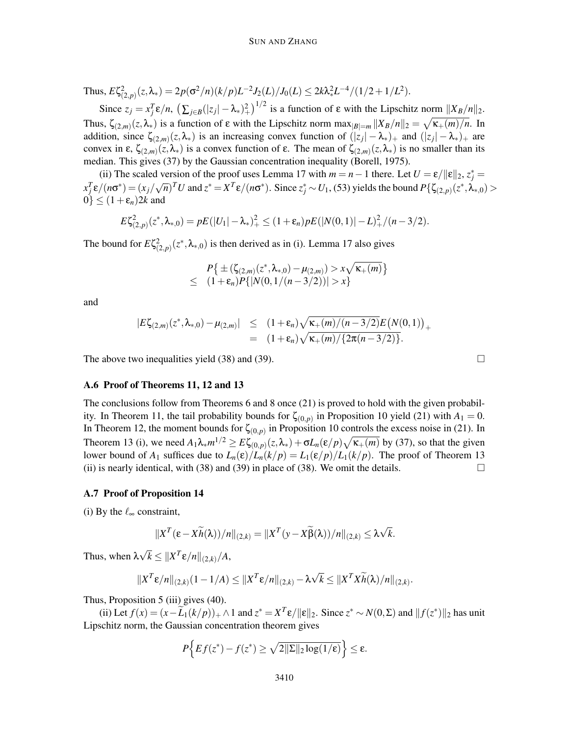Thus,  $E\zeta_{(2,p)}^2(z,\lambda_*)=2p(\sigma^2/n)(k/p)L^{-2}J_2(L)/J_0(L)\leq 2k\lambda_*^2L^{-4}/(1/2+1/L^2)$ .

Since  $z_j = x_j^T \varepsilon/n$ ,  $\left(\sum_{j \in B} (|z_j| - \lambda_*)_+^2\right)^{1/2}$  is a function of  $\varepsilon$  with the Lipschitz norm  $||X_B/n||_2$ . Thus,  $\zeta_{(2,m)}(z,\lambda_*)$  is a function of  $\varepsilon$  with the Lipschitz norm  $\max_{|B|=m} ||X_B/n||_2 = \sqrt{\kappa_+(m)/n}$ . In addition, since  $\zeta_{(2,m)}(z,\lambda_*)$  is an increasing convex function of  $(|z_j| - \lambda_*)$  and  $(|z_j| - \lambda_*)$  are convex in  $\varepsilon$ ,  $\zeta_{(2,m)}(z,\lambda_*)$  is a convex function of  $\varepsilon$ . The mean of  $\zeta_{(2,m)}(z,\lambda_*)$  is no smaller than its median. This gives (37) by the Gaussian concentration inequality (Borell, 1975).

(ii) The scaled version of the proof uses Lemma 17 with  $m = n - 1$  there. Let  $U = \varepsilon / ||\varepsilon||_2$ ,  $z_j^* =$  $x_j^T \varepsilon/(n\sigma^*) = (x_j/\sqrt{n})^T U$  and  $z^* = X^T \varepsilon/(n\sigma^*)$ . Since  $z_j^* \sim U_1$ , (53) yields the bound  $P(\zeta_{(2,p)}(z^*, \lambda_{*,0}) >$  $0$ <sup> $\leq$ </sup>  $(1+\varepsilon_n)2k$  and

$$
E\zeta_{(2,p)}^2(z^*,\lambda_{*,0})=pE(|U_1|-\lambda_*)^2+\leq (1+\varepsilon_n)pE(|N(0,1)|-L)^2+(n-3/2).
$$

The bound for  $E\zeta_{(2,p)}^2(z^*,\lambda_{*,0})$  is then derived as in (i). Lemma 17 also gives

$$
P\{\pm (\zeta_{(2,m)}(z^*,\lambda_{*,0}) - \mu_{(2,m)}) > x\sqrt{\kappa_+(m)}\}
$$
  
\n
$$
\leq (1+\varepsilon_n)P\{|N(0,1/(n-3/2))| > x\}
$$

and

$$
|E\zeta_{(2,m)}(z^*,\lambda_{*,0}) - \mu_{(2,m)}| \le (1+\epsilon_n)\sqrt{\kappa_+(m)/(n-3/2)}E\big(N(0,1)\big)_+\\ = (1+\epsilon_n)\sqrt{\kappa_+(m)/\{2\pi(n-3/2)\}}.
$$

The above two inequalities yield (38) and (39).  $\Box$ 

#### A.6 Proof of Theorems 11, 12 and 13

The conclusions follow from Theorems 6 and 8 once (21) is proved to hold with the given probability. In Theorem 11, the tail probability bounds for  $\zeta_{(0,p)}$  in Proposition 10 yield (21) with  $A_1 = 0$ . In Theorem 12, the moment bounds for  $\zeta_{(0,p)}$  in Proposition 10 controls the excess noise in (21). In Theorem 13 (i), we need  $A_1 \lambda_* m^{1/2} \ge E \zeta_{(0,p)}(z,\lambda_*) + \sigma L_n(\varepsilon/p) \sqrt{\kappa_+(m)}$  by (37), so that the given lower bound of  $A_1$  suffices due to  $L_n(\varepsilon)/L_n(k/p) = L_1(\varepsilon/p)/L_1(k/p)$ . The proof of Theorem 13 (ii) is nearly identical, with (38) and (39) in place of (38). We omit the details.

#### A.7 Proof of Proposition 14

(i) By the  $\ell_{\infty}$  constraint,

$$
||XT(\varepsilon - X\widetilde{h}(\lambda))/n||_{(2,k)} = ||XT(y - X\widetilde{\beta}(\lambda))/n||_{(2,k)} \leq \lambda \sqrt{k}.
$$

Thus, when  $\lambda \sqrt{k} \leq ||X^T \varepsilon / n||_{(2,k)}/A$ ,

$$
||X^T \varepsilon/n||_{(2,k)}(1-1/A) \leq ||X^T \varepsilon/n||_{(2,k)} - \lambda \sqrt{k} \leq ||X^T X \widetilde{h}(\lambda)/n||_{(2,k)}.
$$

Thus, Proposition 5 (iii) gives (40).

(ii) Let  $f(x) = (x - \widetilde{L}_1(k/p))_+ \wedge 1$  and  $z^* = X^T \varepsilon / ||\varepsilon||_2$ . Since  $z^* \sim N(0, \Sigma)$  and  $||f(z^*)||_2$  has unit Lipschitz norm, the Gaussian concentration theorem gives

$$
P\Big\{Ef(z^*) - f(z^*) \ge \sqrt{2\|\Sigma\|_2\log(1/\epsilon)}\Big\} \le \epsilon.
$$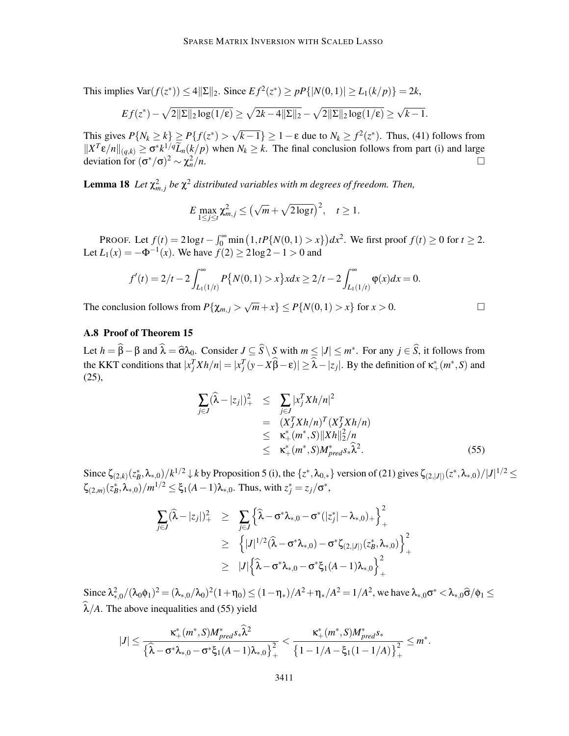This implies  $\text{Var}(f(z^*)) \le 4||\Sigma||_2$ . Since  $Ef^2(z^*) \ge pP\{|N(0,1)| \ge L_1(k/p)\} = 2k$ ,

$$
Ef(z^*) - \sqrt{2||\Sigma||_2\log(1/\epsilon)} \ge \sqrt{2k-4||\Sigma||_2} - \sqrt{2||\Sigma||_2\log(1/\epsilon)} \ge \sqrt{k-1}.
$$

This gives  $P\{N_k \ge k\} \ge P\{f(z^*) > \sqrt{k-1}\} \ge 1 - \varepsilon$  due to  $N_k \ge f^2(z^*)$ . Thus, (41) follows from  $||X^T \varepsilon/n||_{(q,k)} \ge \sigma^* k^{1/q} \widetilde{L}_n(k/p)$  when  $N_k \ge k$ . The final conclusion follows from part (i) and large deviation for  $(\sigma^*/\sigma)^2 \sim \chi_n^2$  $n^2/n$ .

**Lemma 18** Let  $\chi^2_{m,j}$  be  $\chi^2$  distributed variables with m degrees of freedom. Then,

$$
E \max_{1 \leq j \leq t} \chi_{m,j}^2 \leq \left(\sqrt{m} + \sqrt{2 \log t}\right)^2, \quad t \geq 1.
$$

PROOF. Let  $f(t) = 2\log t - \int_0^\infty \min\left(1, tP\{N(0,1) > x\}\right)dx^2$ . We first proof  $f(t) \ge 0$  for  $t \ge 2$ . Let  $L_1(x) = -\Phi^{-1}(x)$ . We have  $f(2) \ge 2\log 2 - 1 > 0$  and

$$
f'(t) = 2/t - 2 \int_{L_1(1/t)}^{\infty} P\{N(0,1) > x\} x dx \ge 2/t - 2 \int_{L_1(1/t)}^{\infty} \varphi(x) dx = 0.
$$

The conclusion follows from  $P\{\chi_{m,j} > \sqrt{m} + x\} \le P\{N(0,1) > x\}$  for  $x > 0$ .

# A.8 Proof of Theorem 15

Let  $h = \beta - \beta$  and  $\lambda = \widehat{\sigma} \lambda_0$ . Consider  $J \subseteq S \setminus S$  with  $m \le |J| \le m^*$ . For any  $j \in S$ , it follows from the KKT conditions that  $|x_j^T X h/n| = |x_j^T (y - X\hat{\beta} - \epsilon)| \ge \hat{\lambda} - |z_j|$ . By the definition of  $\kappa^*_{+}(m^*, S)$  and (25),

$$
\sum_{j\in J}(\widehat{\lambda}-|z_j|)^2_+ \leq \sum_{j\in J} |x_j^T X h/n|^2
$$
  
=  $(X_j^T X h/n)^T (X_j^T X h/n)$   
 $\leq \kappa_+^* (m^*, S) ||X h||_2^2/n$   
 $\leq \kappa_+^* (m^*, S) M_{pred}^* s_* \widehat{\lambda}^2.$  (55)

Since  $\zeta_{(2,k)}(z_B^*, \lambda_{*,0})/k^{1/2} \downarrow k$  by Proposition 5 (i), the  $\{z^*, \lambda_{0,*}\}$  version of (21) gives  $\zeta_{(2,|J|)}(z^*, \lambda_{*,0})/|J|^{1/2} \leq$  $\zeta_{(2,m)}(z_B^*, \lambda_{*,0})/m^{1/2} \le \xi_1(A-1)\lambda_{*,0}$ . Thus, with  $z_j^* = z_j/\sigma^*$ ,

$$
\sum_{j\in J}(\hat{\lambda}-|z_j|)^2_{+} \geq \sum_{j\in J} \left\{ \hat{\lambda}-\sigma^*\lambda_{*,0}-\sigma^*(|z_j^*|-\lambda_{*,0})_{+} \right\}_{+}^2
$$
\n
$$
\geq \left\{ |J|^{1/2}(\hat{\lambda}-\sigma^*\lambda_{*,0})-\sigma^*\zeta_{(2,|J|)}(z_B^*,\lambda_{*,0}) \right\}_{+}^2
$$
\n
$$
\geq |J| \left\{ \hat{\lambda}-\sigma^*\lambda_{*,0}-\sigma^*\xi_1(A-1)\lambda_{*,0} \right\}_{+}^2
$$

Since  $\lambda_{*,0}^2/(\lambda_0\phi_1)^2 = (\lambda_{*,0}/\lambda_0)^2(1+\eta_0) \le (1-\eta_*)/A^2 + \eta_*/A^2 = 1/A^2$ , we have  $\lambda_{*,0}\sigma^* < \lambda_{*,0}\hat{\sigma}/\phi_1 \le$  $\widehat{\lambda}/A$ . The above inequalities and (55) yield

$$
|J| \leq \frac{\kappa_+^*(m^*, S)M_{pred}^* \hat{\lambda}^2}{\left\{\widehat{\lambda} - \sigma^* \lambda_{*,0} - \sigma^* \xi_1 (A-1) \lambda_{*,0}\right\}_+^2} < \frac{\kappa_+^*(m^*, S)M_{pred}^* S_*}{\left\{1 - 1/A - \xi_1 (1 - 1/A)\right\}_+^2} \leq m^*.
$$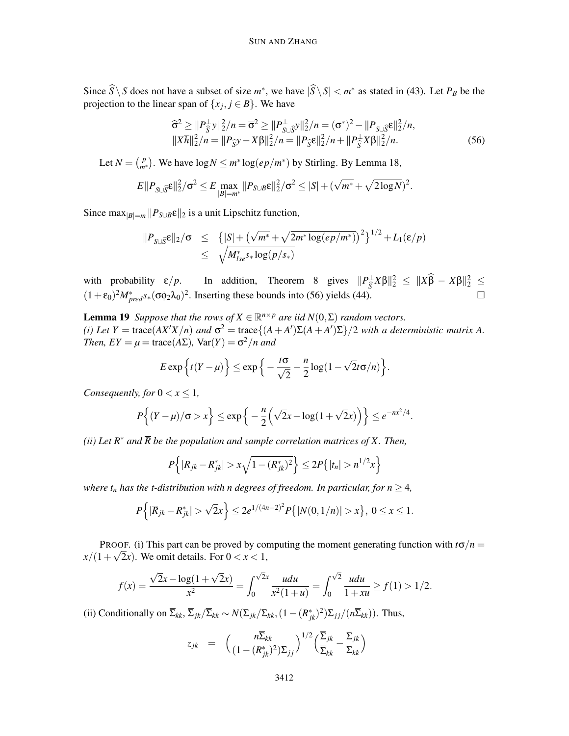Since  $S \ S$  does not have a subset of size  $m^*$ , we have  $|S \ S| < m^*$  as stated in (43). Let  $P_B$  be the projection to the linear span of  $\{x_j, j \in B\}$ . We have

$$
\begin{aligned}\n\widehat{\sigma}^2 &\geq \|P_{\widehat{S}}^{\perp} y\|_2^2 / n = \overline{\sigma}^2 \geq \|P_{S \cup \widehat{S}}^{\perp} y\|_2^2 / n = (\sigma^*)^2 - \|P_{S \cup \widehat{S}} \varepsilon\|_2^2 / n, \\
\|X \overline{h}\|_2^2 / n &= \|P_{\widehat{S}} y - X \beta\|_2^2 / n = \|P_{\widehat{S}} \varepsilon\|_2^2 / n + \|P_{\widehat{S}}^{\perp} X \beta\|_2^2 / n.\n\end{aligned} \tag{56}
$$

Let  $N = \binom{p}{m}$  $\binom{p}{m*}$ . We have log *N* ≤ *m*<sup>∗</sup> log(*ep*/*m*<sup>\*</sup>) by Stirling. By Lemma 18,

$$
E||P_{S \cup \widehat{S}} \varepsilon||_2^2 / \sigma^2 \le E \max_{|B| = m^*} ||P_{S \cup B} \varepsilon||_2^2 / \sigma^2 \le |S| + (\sqrt{m^*} + \sqrt{2 \log N})^2.
$$

Since max $|B|=m$   $||P_{S\cup B}E||_2$  is a unit Lipschitz function,

$$
||P_{S \cup \hat{S}} \varepsilon||_2 / \sigma \leq {[S] + (\sqrt{m^*} + \sqrt{2m^* \log(ep/m^*)})^2}^{1/2} + L_1(\varepsilon/p)
$$
  
\$\leq \sqrt{M\_{lse}^\* s\_\* \log(p/s\_\*)}\$

with probability  $\varepsilon/p$ . In addition, Theorem 8 gives  $||P_{\overline{S}}^{\perp}X\beta||_2^2 \le ||X\beta - X\beta||_2^2 \le$  $(1+\epsilon_0)^2 M_{pred}^* s_*(\sigma \phi_2 \lambda_0)^2$ . Inserting these bounds into (56) yields (44).

**Lemma 19** *Suppose that the rows of*  $X \in \mathbb{R}^{n \times p}$  *are iid*  $N(0, \Sigma)$  *random vectors.* (*i*) Let  $Y = \text{trace}(AX'X/n)$  and  $\sigma^2 = \text{trace}\{(A + A')\Sigma(A + A')\Sigma\}/2$  *with a deterministic matrix A. Then,*  $EY = \mu = \text{trace}(A\Sigma)$ ,  $\text{Var}(Y) = \sigma^2/n$  and

$$
E \exp\left\{t(Y-\mu)\right\} \leq \exp\left\{-\frac{t\sigma}{\sqrt{2}} - \frac{n}{2}\log(1-\sqrt{2}t\sigma/n)\right\}.
$$

*Consequently, for*  $0 < x \leq 1$ *,* 

$$
P\Big\{(Y-\mu)/\sigma>x\Big\}\leq \exp\Big\{-\frac{n}{2}\Big(\sqrt{2}x-\log(1+\sqrt{2}x)\Big)\Big\}\leq e^{-nx^2/4}.
$$

*(ii)* Let  $R^*$  and  $\overline{R}$  be the population and sample correlation matrices of X. Then,

$$
P\left\{|\overline{R}_{jk} - R_{jk}^*| > x\sqrt{1 - (R_{jk}^*)^2}\right\} \le 2P\{|t_n| > n^{1/2}x\}
$$

*where*  $t_n$  *has the t-distribution with n degrees of freedom. In particular, for n*  $\geq$  4*,* 

$$
P\left\{|\overline{R}_{jk}-R^*_{jk}|>\sqrt{2}x\right\}\leq 2e^{1/(4n-2)^2}P\{|N(0,1/n)|>x\},\ 0\leq x\leq 1.
$$

PROOF. (i) This part can be proved by computing the moment generating function with  $t\sigma/n =$  $x/(1+\sqrt{2}x)$ . We omit details. For  $0 < x < 1$ ,

$$
f(x) = \frac{\sqrt{2}x - \log(1 + \sqrt{2}x)}{x^2} = \int_0^{\sqrt{2}x} \frac{udu}{x^2(1+u)} = \int_0^{\sqrt{2}} \frac{udu}{1+uu} \ge f(1) > 1/2.
$$

(ii) Conditionally on  $\overline{\Sigma}_{kk}$ ,  $\overline{\Sigma}_{jk}/\overline{\Sigma}_{kk} \sim N(\Sigma_{jk}/\Sigma_{kk},(1-(R_{jk}^*)^2)\Sigma_{jj}/(n\overline{\Sigma}_{kk}))$ . Thus,

$$
z_{jk} = \left(\frac{n\overline{\Sigma}_{kk}}{(1-(R_{jk}^*)^2)\Sigma_{jj}}\right)^{1/2} \left(\frac{\overline{\Sigma}_{jk}}{\overline{\Sigma}_{kk}} - \frac{\Sigma_{jk}}{\Sigma_{kk}}\right)
$$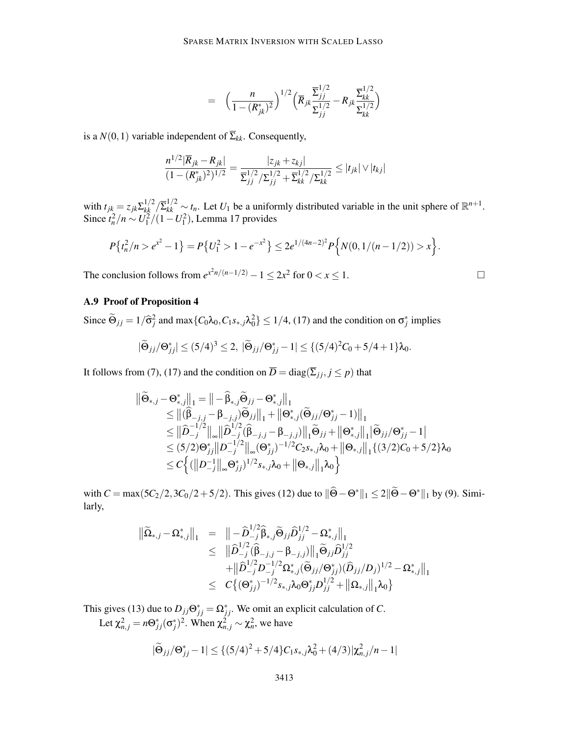$$
= \left(\frac{n}{1-(R_{jk}^*)^2}\right)^{1/2} \left(\overline{R}_{jk} \frac{\overline{\Sigma}_{jj}^{1/2}}{\Sigma_{jj}^{1/2}} - R_{jk} \frac{\overline{\Sigma}_{kk}^{1/2}}{\Sigma_{kk}^{1/2}}\right)
$$

is a  $N(0,1)$  variable independent of  $\overline{\Sigma}_{kk}$ . Consequently,

$$
\frac{n^{1/2}|\overline{R}_{jk} - R_{jk}|}{(1 - (R_{jk}^*)^2)^{1/2}} = \frac{|z_{jk} + z_{kj}|}{\sum_{jj}^{1/2} / \sum_{jj}^{1/2} + \sum_{kk}^{1/2} / \sum_{kk}^{1/2}} \le |t_{jk}| \vee |t_{kj}|
$$

with  $t_{jk} = z_{jk} \sum_{kk}^{1/2} \sum_{kk}^{1/2} \sim t_n$ . Let  $U_1$  be a uniformly distributed variable in the unit sphere of  $\mathbb{R}^{n+1}$ . Since  $t_n^2/n \sim U_1^2/(1-U_1^2)$ , Lemma 17 provides

$$
P\left\{t_n^2/n > e^{x^2} - 1\right\} = P\left\{U_1^2 > 1 - e^{-x^2}\right\} \le 2e^{1/(4n-2)^2} P\left\{N(0, 1/(n-1/2)) > x\right\}.
$$

The conclusion follows from  $e^{x^2n/(n-1/2)} - 1 \le 2x^2$  for  $0 < x \le 1$ .

# A.9 Proof of Proposition 4

Since  $\widetilde{\Theta}_{jj} = 1/\widehat{\sigma}_j^2$  and  $\max\{C_0\lambda_0, C_1s_{*,j}\lambda_0^2\} \le 1/4$ , (17) and the condition on  $\sigma_j^*$  implies

$$
|\widetilde{\Theta}_{jj}/\Theta_{jj}^*| \le (5/4)^3 \le 2, \ |\widetilde{\Theta}_{jj}/\Theta_{jj}^* - 1| \le \{ (5/4)^2 C_0 + 5/4 + 1 \} \lambda_0.
$$

It follows from (7), (17) and the condition on  $\overline{D} = \text{diag}(\overline{\Sigma}_{ij}, j \leq p)$  that

$$
\begin{aligned} \|\widetilde{\Theta}_{*,j}-\Theta_{*,j}^*\|_1 &= \|-\widehat{\beta}_{*,j}\widetilde{\Theta}_{jj}-\Theta_{*,j}^*\|_1\\ &\leq \|(\widehat{\beta}_{-j,j}-\beta_{-j,j})\widetilde{\Theta}_{jj}\|_1 + \|\Theta_{*,j}^*(\widetilde{\Theta}_{jj}/\Theta_{jj}^*-1)\|_1\\ &\leq \|\widehat{D}_{-j}^{-1/2}\|_\infty \|\widehat{D}_{-j}^{1/2}(\widehat{\beta}_{-j,j}-\beta_{-j,j})\|_1\widetilde{\Theta}_{jj} + \|\Theta_{*,j}^*\|_1 |\widetilde{\Theta}_{jj}/\Theta_{jj}^*-1|\\ &\leq (5/2)\Theta_{jj}^*\|D_{-j}^{-1/2}\|_\infty (\Theta_{jj}^*)^{-1/2}C_2s_{*,j}\lambda_0 + \|\Theta_{*,j}\|_1\{(3/2)C_0+5/2\}\lambda_0\\ &\leq C\Big\{(\|D_{-j}^{-1}\|_\infty \Theta_{jj}^*)^{1/2}s_{*,j}\lambda_0 + \|\Theta_{*,j}\|_1\lambda_0\Big\} \end{aligned}
$$

with  $C = \max(5C_2/2, 3C_0/2 + 5/2)$ . This gives (12) due to  $\|\Theta - \Theta^*\|_1 \le 2\|\Theta - \Theta^*\|_1$  by (9). Similarly,

$$
\begin{array}{rcl} \|\widetilde{\Omega}_{*,j} - \Omega_{*,j}^*\|_1 & = & \left\| - \widehat{D}_{-j}^{1/2} \widehat{\beta}_{*,j} \widetilde{\Theta}_{jj} \widehat{D}_{jj}^{1/2} - \Omega_{*,j}^*\right\|_1 \\ & \leq & \left\| \widehat{D}_{-j}^{1/2} (\widehat{\beta}_{-j,j} - \beta_{-j,j}) \right\|_1 \widetilde{\Theta}_{jj} \widehat{D}_{jj}^{1/2} \\ & & \left. + \left\| \widehat{D}_{-j}^{1/2} D_{-j}^{-1/2} \Omega_{*,j}^*( \widetilde{\Theta}_{jj}/\Theta_{jj}^*) (\widehat{D}_{jj}/D_j)^{1/2} - \Omega_{*,j}^*\right\|_1 \right. \\ & \leq & \left. C \big\{ (\Theta_{jj}^*)^{-1/2} s_{*,j} \lambda_0 \Theta_{jj}^* D_{jj}^{1/2} + \left\| \Omega_{*,j} \right\|_1 \lambda_0 \big\} \end{array}
$$

This gives (13) due to  $D_{jj} \Theta_{jj}^* = \Omega_{jj}^*$ . We omit an explicit calculation of *C*. Let  $\chi^2_{n,j} = n\Theta^*_{jj}(\sigma^*_j)^2$ . When  $\chi^2_{n,j} \sim \chi^2_n$ , we have

$$
|\widetilde{\Theta}_{jj}/\Theta_{jj}^* - 1| \leq \{ (5/4)^2 + 5/4 \} C_1 s_{*,j} \lambda_0^2 + (4/3) |\chi_{n,j}^2 / n - 1|
$$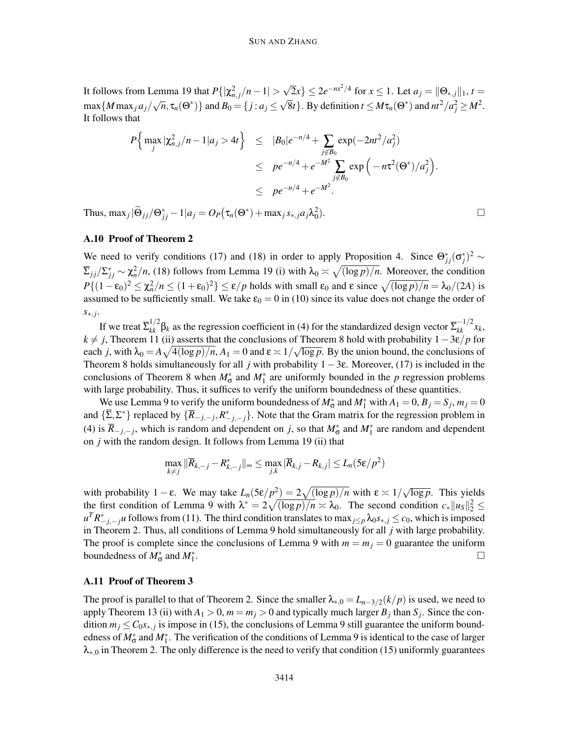It follows from Lemma 19 that  $P\{|\chi^2_{n,j}/n-1| > \sqrt{2}x\} \le 2e^{-nx^2/4}$  for  $x \le 1$ . Let  $a_j = ||\Theta_{*,j}||_1$ ,  $t =$  $\max\{M \max_j a_j/\sqrt{n}, \tau_n(\Theta^*)\}$  and  $B_0 = \{j : a_j \leq \sqrt{8}t\}$ . By definition  $t \leq M\tau_n(\Theta^*)$  and  $n^2/a_j^2 \geq M^2$ . It follows that

$$
P\Big\{\max_{j} |\chi_{n,j}^2/n - 1|a_j > 4t\Big\} \leq |B_0|e^{-n/4} + \sum_{\substack{j \notin B_0 \\ j \notin B_0}} \exp(-2nt^2/a_j^2)
$$
  

$$
\leq pe^{-n/4} + e^{-M^2} \sum_{\substack{j \notin B_0 \\ j \notin B_0}} \exp(-n\tau^2(\Theta^*)/a_j^2).
$$

Thus,  $\max_j |\widetilde{\Theta}_{jj}/\Theta_{jj}^* - 1|a_j = O_P(\tau_n(\Theta^*) + \max_j s_{*,j} a_j \lambda_0^2)$ 

### A.10 Proof of Theorem 2

We need to verify conditions (17) and (18) in order to apply Proposition 4. Since  $\Theta_{jj}^*(\sigma_j^*)^2 \sim$  $\sum_j j / \sum_{j}^* \sim \chi_n^2/n$ , (18) follows from Lemma 19 (i) with  $\lambda_0 \asymp \sqrt{(\log p)/n}$ . Moreover, the condition  $P\{(1-\epsilon_0)^2 \leq \chi_n^2/n \leq (1+\epsilon_0)^2\} \leq \epsilon/p$  holds with small  $\epsilon_0$  and  $\epsilon$  since  $\sqrt{(\log p)/n} = \lambda_0/(2A)$  is assumed to be sufficiently small. We take  $\varepsilon_0 = 0$  in (10) since its value does not change the order of *s*∗, *j* .

If we treat  $\sum_{kk}^{1/2} \beta_k$  as the regression coefficient in (4) for the standardized design vector  $\sum_{kk}^{-1/2} x_k$ ,  $k \neq j$ , Theorem 11 (ii) asserts that the conclusions of Theorem 8 hold with probability  $1-3\varepsilon/p$  for each *j*, with  $\lambda_0 = A \sqrt{4(\log p)/n}$ ,  $A_1 = 0$  and  $\varepsilon \approx 1/\sqrt{\log p}$ . By the union bound, the conclusions of Theorem 8 holds simultaneously for all *j* with probability  $1-3\varepsilon$ . Moreover, (17) is included in the conclusions of Theorem 8 when  $M^*_{\sigma}$  and  $M^*_{\perp}$  are uniformly bounded in the *p* regression problems with large probability. Thus, it suffices to verify the uniform boundedness of these quantities.

We use Lemma 9 to verify the uniform boundedness of  $M^*_{\sigma}$  and  $M^*_{\sigma}$  with  $A_1 = 0$ ,  $B_j = S_j$ ,  $m_j = 0$ and  $\{\sum_{i} \sum_{i}^{*}\}$  replaced by  $\{\overline{R}_{-j,-j}, R_{-j,-j}^*\}$ . Note that the Gram matrix for the regression problem in (4) is  $\overline{R}_{-j,-j}$ , which is random and dependent on *j*, so that  $M^*_{\sigma}$  and  $M^*_{1}$  are random and dependent on *j* with the random design. It follows from Lemma 19 (ii) that

$$
\max_{k \neq j} \|\overline{R}_{k, -j} - R^*_{k, -j}\|_{\infty} \le \max_{j, k} |\overline{R}_{k, j} - R_{k, j}| \le L_n (5\varepsilon/p^2)
$$

with probability  $1 - \varepsilon$ . We may take  $L_n(5\varepsilon/p^2) = 2\sqrt{(\log p)/n}$  with  $\varepsilon \approx 1/\sqrt{\log p}$ . This yields the first condition of Lemma 9 with  $\lambda^* = 2\sqrt{(\log p)/n} \times \lambda_0$ . The second condition  $c_* ||u_s||_2^2 \leq$  $u^T R_{-j,-j}^* u$  follows from (11). The third condition translates to max  ${}_{j\leq p} \lambda_0 s_{*,j} \leq c_0$ , which is imposed in Theorem 2. Thus, all conditions of Lemma 9 hold simultaneously for all *j* with large probability. The proof is complete since the conclusions of Lemma 9 with  $m = m<sub>j</sub> = 0$  guarantee the uniform boundedness of  $M^*_{\sigma}$  and  $M^*_{1}$ .

#### A.11 Proof of Theorem 3

The proof is parallel to that of Theorem 2. Since the smaller  $\lambda_{*,0} = L_{n-3/2}(k/p)$  is used, we need to apply Theorem 13 (ii) with  $A_1 > 0$ ,  $m = m_j > 0$  and typically much larger  $B_j$  than  $S_j$ . Since the condition  $m_j \leq C_0 s_{*,j}$  is impose in (15), the conclusions of Lemma 9 still guarantee the uniform boundedness of  $M^*_{\sigma}$  and  $M^*_{1}$ . The verification of the conditions of Lemma 9 is identical to the case of larger  $\lambda_{*,0}$  in Theorem 2. The only difference is the need to verify that condition (15) uniformly guarantees

).  $\qquad \qquad \Box$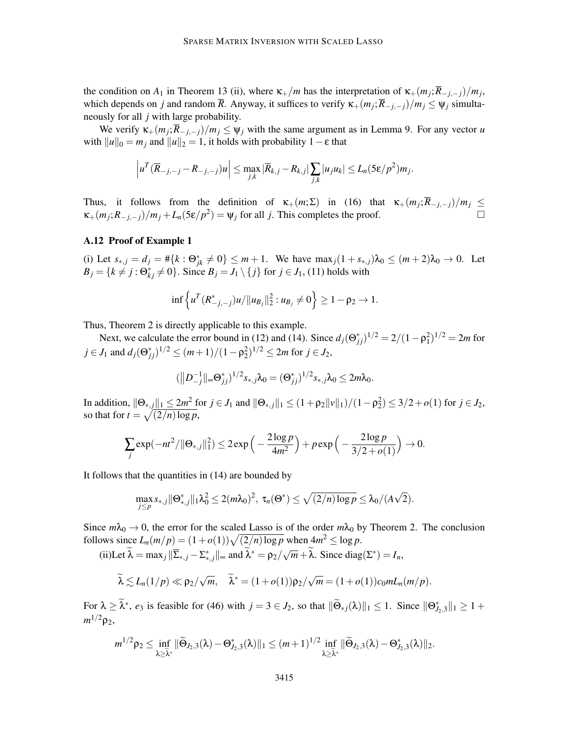the condition on  $A_1$  in Theorem 13 (ii), where  $\kappa_+/m$  has the interpretation of  $\kappa_+(m_j;\overline{R}_{-j,-j})/m_j$ , which depends on *j* and random  $\overline{R}$ . Anyway, it suffices to verify  $\kappa_+(m_j;\overline{R}_{-j,-j})/m_j \leq \psi_j$  simultaneously for all *j* with large probability.

We verify  $\kappa_+(m_j;\overline{R}_{-j,-j})/m_j \leq \psi_j$  with the same argument as in Lemma 9. For any vector *u* with  $||u||_0 = m_j$  and  $||u||_2 = 1$ , it holds with probability  $1 - \varepsilon$  that

$$
\left|u^T(\overline{R}_{-j,-j}-R_{-j,-j})u\right|\leq \max_{j,k}|\overline{R}_{k,j}-R_{k,j}|\sum_{j,k}|u_ju_k|\leq L_n(5\epsilon/p^2)m_j.
$$

Thus, it follows from the definition of  $\kappa_+(m;\Sigma)$  in (16) that  $\kappa_+(m_j;\overline{R}_{-j,-j})/m_j \leq$  $\kappa_+(m_j; R_{-j,-j})/m_j + L_n(5\varepsilon/p^2) = \psi_j$  for all *j*. This completes the proof.

#### A.12 Proof of Example 1

(i) Let  $s_{*,j} = d_j = #\{k : \Theta_{jk}^* \neq 0\} \leq m+1$ . We have  $\max_j(1 + s_{*,j})\lambda_0 \leq (m+2)\lambda_0 \to 0$ . Let  $B_j = \{k \neq j : \Theta_{kj}^* \neq 0\}$ . Since  $B_j = J_1 \setminus \{j\}$  for  $j \in J_1$ , (11) holds with

$$
\inf \left\{ u^T (R_{-j,-j}^*) u / \|u_{B_j}\|_2^2 : u_{B_j} \neq 0 \right\} \geq 1 - \rho_2 \to 1.
$$

Thus, Theorem 2 is directly applicable to this example.

Next, we calculate the error bound in (12) and (14). Since  $d_j(\Theta_{jj}^*)^{1/2} = 2/(1 - \rho_1^2)^{1/2} = 2m$  for  $j \in J_1$  and  $d_j(\Theta_{jj}^*)^{1/2} \le (m+1)/(1-\rho_2^2)^{1/2} \le 2m$  for  $j \in J_2$ ,

$$
(\|D_{-j}^{-1}\|_{\infty} \Theta_{jj}^*)^{1/2} s_{*,j} \lambda_0 = (\Theta_{jj}^*)^{1/2} s_{*,j} \lambda_0 \leq 2m \lambda_0.
$$

In addition,  $\|\Theta_{*,j}\|_1 \leq 2m^2$  for  $j \in J_1$  and  $\|\Theta_{*,j}\|_1 \leq (1+\rho_2\|v\|_1)/(1-\rho_2^2) \leq 3/2+o(1)$  for  $j \in J_2$ , so that for  $t = \sqrt{\frac{2}{n} \log p}$ ,

$$
\sum_{j} \exp(-nt^2/\|\Theta_{*,j}\|_1^2) \le 2 \exp\left(-\frac{2\log p}{4m^2}\right) + p \exp\left(-\frac{2\log p}{3/2 + o(1)}\right) \to 0.
$$

It follows that the quantities in (14) are bounded by

$$
\max_{j\leq p} s_{*,j} ||\Theta^*_{*,j}||_1 \lambda_0^2 \leq 2(m\lambda_0)^2, \ \tau_n(\Theta^*) \leq \sqrt{(2/n)\log p} \leq \lambda_0/(A\sqrt{2}).
$$

Since  $m\lambda_0 \to 0$ , the error for the scaled Lasso is of the order  $m\lambda_0$  by Theorem 2. The conclusion follows since  $L_n(m/p) = (1 + o(1))\sqrt{(2/n)\log p}$  when  $4m^2 \le \log p$ . √

(ii)Let 
$$
\lambda = \max_j \|\overline{\Sigma}_{*,j} - \Sigma_{*,j}^*\|_{\infty}
$$
 and  $\lambda^* = \rho_2/\sqrt{m} + \lambda$ . Since diag( $\Sigma^*$ ) =  $I_n$ ,

$$
\widetilde{\lambda} \lesssim L_n(1/p) \ll \rho_2/\sqrt{m}, \quad \widetilde{\lambda}^* = (1+o(1))\rho_2/\sqrt{m} = (1+o(1))c_0mL_n(m/p).
$$

For  $\lambda \geq \lambda^*$ ,  $e_3$  is feasible for (46) with  $j = 3 \in J_2$ , so that  $\|\Theta_{*j}(\lambda)\|_1 \leq 1$ . Since  $\|\Theta_{J_2,3}^*\|_1 \geq 1 +$ *m* <sup>1</sup>/2ρ2,

$$
m^{1/2}\rho_2\leq \inf_{\lambda\geq \widetilde{\lambda}^*}\|\widetilde{\Theta}_{J_2,3}(\lambda)-\Theta^*_{J_2,3}(\lambda)\|_1\leq (m+1)^{1/2}\inf_{\lambda\geq \widetilde{\lambda}^*}\|\widetilde{\Theta}_{J_2,3}(\lambda)-\Theta^*_{J_2,3}(\lambda)\|_2.
$$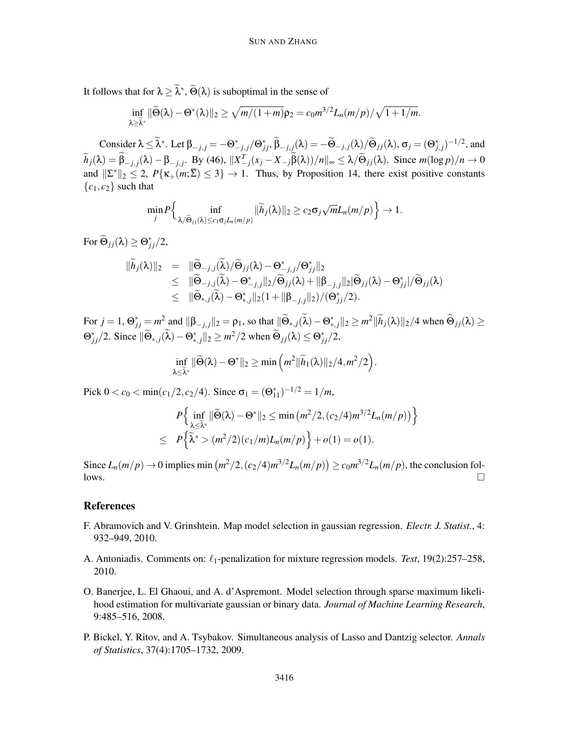It follows that for  $\lambda \geq \lambda^*$ ,  $\Theta(\lambda)$  is suboptimal in the sense of

$$
\inf_{\lambda \geq \widetilde{\lambda}^*} \|\widetilde{\Theta}(\lambda) - \Theta^*(\lambda)\|_2 \geq \sqrt{m/(1+m)} \rho_2 = c_0 m^{3/2} L_n(m/p)/\sqrt{1+1/m}.
$$

 $\overline{\text{Consider}} \ \lambda \leq \overline{\lambda^*}.$  Let  $\beta_{-j,j} = -\Theta^*_{-j,j}/\Theta^*_{jj}, \overline{\beta}_{-j,j}(\lambda) = -\widetilde{\Theta}_{-j,j}(\lambda)/\widetilde{\Theta}_{jj}(\lambda), \sigma_j = (\Theta^*_{j,j})^{-1/2},$  and  $\widetilde{h}_j(\lambda) = \beta_{-j,j}(\lambda) - \beta_{-j,j}$ . By (46),  $||X^T_{-j}(x_j - X_{-j}\beta(\lambda))/n||_{\infty} \le \lambda/\widetilde{\Theta}_{jj}(\lambda)$ . Since  $m(\log p)/n \to 0$ and  $||\Sigma^*||_2 \le 2$ ,  $P\{\kappa_+(m;\overline{\Sigma}) \le 3\} \to 1$ . Thus, by Proposition 14, there exist positive constants  ${c_1, c_2}$  such that

$$
\min_{j} P\Big\{\inf_{\lambda/\widetilde{\Theta}_{jj}(\lambda)\leq c_1 \sigma_j L_n(m/p)} \|\widetilde{h}_j(\lambda)\|_2 \geq c_2 \sigma_j \sqrt{m} L_n(m/p)\Big\} \to 1.
$$

For  $\Theta_{jj}(\lambda) \geq \Theta_{jj}^*/2$ ,

$$
\begin{array}{rcl}\n\|\widetilde{h}_j(\lambda)\|_2 &=& \|\widetilde{\Theta}_{-j,j}(\widetilde{\lambda})/\widetilde{\Theta}_{jj}(\lambda)-\Theta_{-j,j}^*/\Theta_{jj}^* \|_2 \\
&\leq& \|\widetilde{\Theta}_{-j,j}(\widetilde{\lambda})-\Theta_{-j,j}^* \|_2/\widetilde{\Theta}_{jj}(\lambda)+\|\beta_{-j,j}\|_2|\widetilde{\Theta}_{jj}(\lambda)-\Theta_{jj}^*|/\widetilde{\Theta}_{jj}(\lambda) \\
&\leq& \|\widetilde{\Theta}_{*,j}(\widetilde{\lambda})-\Theta_{*,j}^*\|_2(1+\|\beta_{-j,j}\|_2)/(\Theta_{jj}^*/2).\n\end{array}
$$

 $\text{For } j = 1, \Theta^*_{jj} = m^2 \text{ and } ||\beta_{-j,j}||_2 = \rho_1 \text{, so that } ||\Theta_{*,j}(\lambda) - \Theta^*_{*,j}||_2 \geq m^2 ||\tilde{h}_j(\lambda)||_2/4 \text{ when } \Theta_{jj}(\lambda) \geq 0$  $\Theta_{jj}^*/2$ . Since  $\|\widetilde{\Theta}_{*,j}(\lambda) - \Theta_{*,j}^*\|_2 \ge m^2/2$  when  $\widetilde{\Theta}_{jj}(\lambda) \le \Theta_{jj}^*/2$ ,

$$
\inf_{\lambda \leq \tilde{\lambda}^*} \|\widetilde{\Theta}(\lambda) - \Theta^*\|_2 \geq \min\left(m^2 \|\widetilde{h}_1(\lambda)\|_2 / 4, m^2 / 2\right).
$$

Pick  $0 < c_0 < \min(c_1/2, c_2/4)$ . Since  $\sigma_1 = (\Theta_{11}^*)^{-1/2} = 1/m$ ,

$$
P\left\{\inf_{\lambda \leq \tilde{\lambda}^*} \|\widetilde{\Theta}(\lambda) - \Theta^*\|_2 \leq \min\left(m^2/2, (c_2/4)m^{3/2}L_n(m/p)\right)\right\}
$$
  

$$
\leq P\left\{\widetilde{\lambda}^* > (m^2/2)(c_1/m)L_n(m/p)\right\} + o(1) = o(1).
$$

Since  $L_n(m/p) \to 0$  implies min  $(m^2/2, (c_2/4)m^{3/2}L_n(m/p)) \ge c_0 m^{3/2}L_n(m/p)$ , the conclusion fol- $\Box$ 

# **References**

- F. Abramovich and V. Grinshtein. Map model selection in gaussian regression. *Electr. J. Statist.*, 4: 932–949, 2010.
- A. Antoniadis. Comments on: ℓ1-penalization for mixture regression models. *Test*, 19(2):257–258, 2010.
- O. Banerjee, L. El Ghaoui, and A. d'Aspremont. Model selection through sparse maximum likelihood estimation for multivariate gaussian or binary data. *Journal of Machine Learning Research*, 9:485–516, 2008.
- P. Bickel, Y. Ritov, and A. Tsybakov. Simultaneous analysis of Lasso and Dantzig selector. *Annals of Statistics*, 37(4):1705–1732, 2009.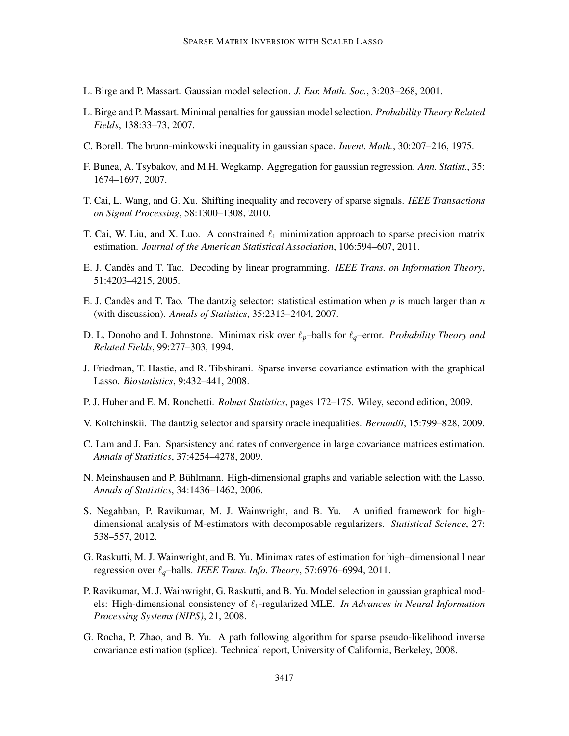- L. Birge and P. Massart. Gaussian model selection. *J. Eur. Math. Soc.*, 3:203–268, 2001.
- L. Birge and P. Massart. Minimal penalties for gaussian model selection. *Probability Theory Related Fields*, 138:33–73, 2007.
- C. Borell. The brunn-minkowski inequality in gaussian space. *Invent. Math.*, 30:207–216, 1975.
- F. Bunea, A. Tsybakov, and M.H. Wegkamp. Aggregation for gaussian regression. *Ann. Statist.*, 35: 1674–1697, 2007.
- T. Cai, L. Wang, and G. Xu. Shifting inequality and recovery of sparse signals. *IEEE Transactions on Signal Processing*, 58:1300–1308, 2010.
- T. Cai, W. Liu, and X. Luo. A constrained  $\ell_1$  minimization approach to sparse precision matrix estimation. *Journal of the American Statistical Association*, 106:594–607, 2011.
- E. J. Candes and T. Tao. Decoding by linear programming. ` *IEEE Trans. on Information Theory*, 51:4203–4215, 2005.
- E. J. Candès and T. Tao. The dantzig selector: statistical estimation when  $p$  is much larger than  $n$ (with discussion). *Annals of Statistics*, 35:2313–2404, 2007.
- D. L. Donoho and I. Johnstone. Minimax risk over ℓ*p*–balls for ℓ*q*–error. *Probability Theory and Related Fields*, 99:277–303, 1994.
- J. Friedman, T. Hastie, and R. Tibshirani. Sparse inverse covariance estimation with the graphical Lasso. *Biostatistics*, 9:432–441, 2008.
- P. J. Huber and E. M. Ronchetti. *Robust Statistics*, pages 172–175. Wiley, second edition, 2009.
- V. Koltchinskii. The dantzig selector and sparsity oracle inequalities. *Bernoulli*, 15:799–828, 2009.
- C. Lam and J. Fan. Sparsistency and rates of convergence in large covariance matrices estimation. *Annals of Statistics*, 37:4254–4278, 2009.
- N. Meinshausen and P. Buhlmann. High-dimensional graphs and variable selection with the Lasso. ¨ *Annals of Statistics*, 34:1436–1462, 2006.
- S. Negahban, P. Ravikumar, M. J. Wainwright, and B. Yu. A unified framework for highdimensional analysis of M-estimators with decomposable regularizers. *Statistical Science*, 27: 538–557, 2012.
- G. Raskutti, M. J. Wainwright, and B. Yu. Minimax rates of estimation for high–dimensional linear regression over ℓ*q*–balls. *IEEE Trans. Info. Theory*, 57:6976–6994, 2011.
- P. Ravikumar, M. J. Wainwright, G. Raskutti, and B. Yu. Model selection in gaussian graphical models: High-dimensional consistency of ℓ1-regularized MLE. *In Advances in Neural Information Processing Systems (NIPS)*, 21, 2008.
- G. Rocha, P. Zhao, and B. Yu. A path following algorithm for sparse pseudo-likelihood inverse covariance estimation (splice). Technical report, University of California, Berkeley, 2008.